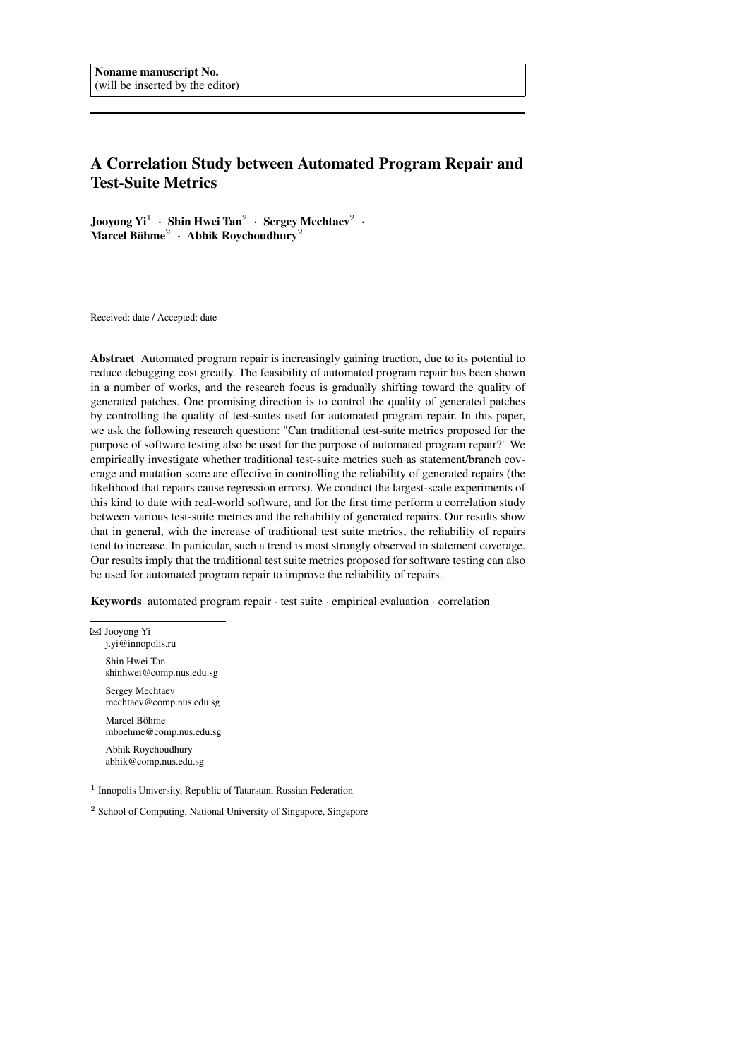# A Correlation Study between Automated Program Repair and Test-Suite Metrics

Jooyong  $\text{Yi}^1 \, \cdot \, \text{Shin Hwei Tan}^2 \, \cdot \, \text{Sergey Mechan}^2 \, \cdot \,$ Marcel Böhme $^2\, \cdot \,$  Abhik Roychoudhury $^2$ 

Received: date / Accepted: date

Abstract Automated program repair is increasingly gaining traction, due to its potential to reduce debugging cost greatly. The feasibility of automated program repair has been shown in a number of works, and the research focus is gradually shifting toward the quality of generated patches. One promising direction is to control the quality of generated patches by controlling the quality of test-suites used for automated program repair. In this paper, we ask the following research question: "Can traditional test-suite metrics proposed for the purpose of software testing also be used for the purpose of automated program repair?" We empirically investigate whether traditional test-suite metrics such as statement/branch coverage and mutation score are effective in controlling the reliability of generated repairs (the likelihood that repairs cause regression errors). We conduct the largest-scale experiments of this kind to date with real-world software, and for the first time perform a correlation study between various test-suite metrics and the reliability of generated repairs. Our results show that in general, with the increase of traditional test suite metrics, the reliability of repairs tend to increase. In particular, such a trend is most strongly observed in statement coverage. Our results imply that the traditional test suite metrics proposed for software testing can also be used for automated program repair to improve the reliability of repairs.

Keywords automated program repair · test suite · empirical evaluation · correlation

 Jooyong Yi j.yi@innopolis.ru Shin Hwei Tan shinhwei@comp.nus.edu.sg Sergey Mechtaev mechtaev@comp.nus.edu.sg Marcel Böhme mboehme@comp.nus.edu.sg

Abhik Roychoudhury abhik@comp.nus.edu.sg

<sup>1</sup> Innopolis University, Republic of Tatarstan, Russian Federation

<sup>2</sup> School of Computing, National University of Singapore, Singapore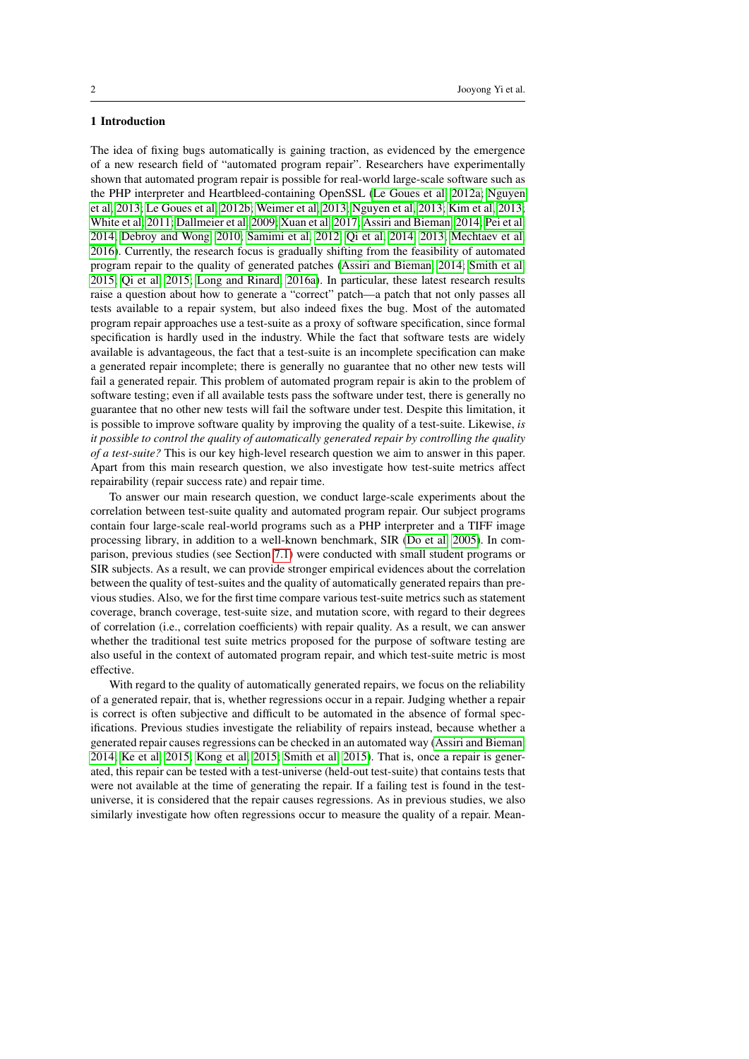# 1 Introduction

The idea of fixing bugs automatically is gaining traction, as evidenced by the emergence of a new research field of "automated program repair". Researchers have experimentally shown that automated program repair is possible for real-world large-scale software such as the PHP interpreter and Heartbleed-containing OpenSSL [\(Le Goues et al, 2012a;](#page-27-0) [Nguyen](#page-28-0) [et al, 2013;](#page-28-0) [Le Goues et al, 2012b;](#page-27-1) [Weimer et al, 2013;](#page-29-0) [Nguyen et al, 2013;](#page-28-0) [Kim et al, 2013;](#page-27-2) [White et al, 2011;](#page-29-1) [Dallmeier et al, 2009;](#page-27-3) [Xuan et al, 2017;](#page-29-2) [Assiri and Bieman, 2014;](#page-26-0) [Pei et al,](#page-28-1) [2014;](#page-28-1) [Debroy and Wong, 2010;](#page-27-4) [Samimi et al, 2012;](#page-29-3) [Qi et al, 2014,](#page-29-4) [2013;](#page-28-2) [Mechtaev et al,](#page-28-3) [2016\)](#page-28-3). Currently, the research focus is gradually shifting from the feasibility of automated program repair to the quality of generated patches [\(Assiri and Bieman, 2014;](#page-26-0) [Smith et al,](#page-29-5) [2015;](#page-29-5) [Qi et al, 2015;](#page-29-6) [Long and Rinard, 2016a\)](#page-28-4). In particular, these latest research results raise a question about how to generate a "correct" patch—a patch that not only passes all tests available to a repair system, but also indeed fixes the bug. Most of the automated program repair approaches use a test-suite as a proxy of software specification, since formal specification is hardly used in the industry. While the fact that software tests are widely available is advantageous, the fact that a test-suite is an incomplete specification can make a generated repair incomplete; there is generally no guarantee that no other new tests will fail a generated repair. This problem of automated program repair is akin to the problem of software testing; even if all available tests pass the software under test, there is generally no guarantee that no other new tests will fail the software under test. Despite this limitation, it is possible to improve software quality by improving the quality of a test-suite. Likewise, *is it possible to control the quality of automatically generated repair by controlling the quality of a test-suite?* This is our key high-level research question we aim to answer in this paper. Apart from this main research question, we also investigate how test-suite metrics affect repairability (repair success rate) and repair time.

To answer our main research question, we conduct large-scale experiments about the correlation between test-suite quality and automated program repair. Our subject programs contain four large-scale real-world programs such as a PHP interpreter and a TIFF image processing library, in addition to a well-known benchmark, SIR [\(Do et al, 2005\)](#page-27-5). In comparison, previous studies (see Section [7.1\)](#page-23-0) were conducted with small student programs or SIR subjects. As a result, we can provide stronger empirical evidences about the correlation between the quality of test-suites and the quality of automatically generated repairs than previous studies. Also, we for the first time compare various test-suite metrics such as statement coverage, branch coverage, test-suite size, and mutation score, with regard to their degrees of correlation (i.e., correlation coefficients) with repair quality. As a result, we can answer whether the traditional test suite metrics proposed for the purpose of software testing are also useful in the context of automated program repair, and which test-suite metric is most effective.

With regard to the quality of automatically generated repairs, we focus on the reliability of a generated repair, that is, whether regressions occur in a repair. Judging whether a repair is correct is often subjective and difficult to be automated in the absence of formal specifications. Previous studies investigate the reliability of repairs instead, because whether a generated repair causes regressions can be checked in an automated way [\(Assiri and Bieman,](#page-26-0) [2014;](#page-26-0) [Ke et al, 2015;](#page-27-6) [Kong et al, 2015;](#page-27-7) [Smith et al, 2015\)](#page-29-5). That is, once a repair is generated, this repair can be tested with a test-universe (held-out test-suite) that contains tests that were not available at the time of generating the repair. If a failing test is found in the testuniverse, it is considered that the repair causes regressions. As in previous studies, we also similarly investigate how often regressions occur to measure the quality of a repair. Mean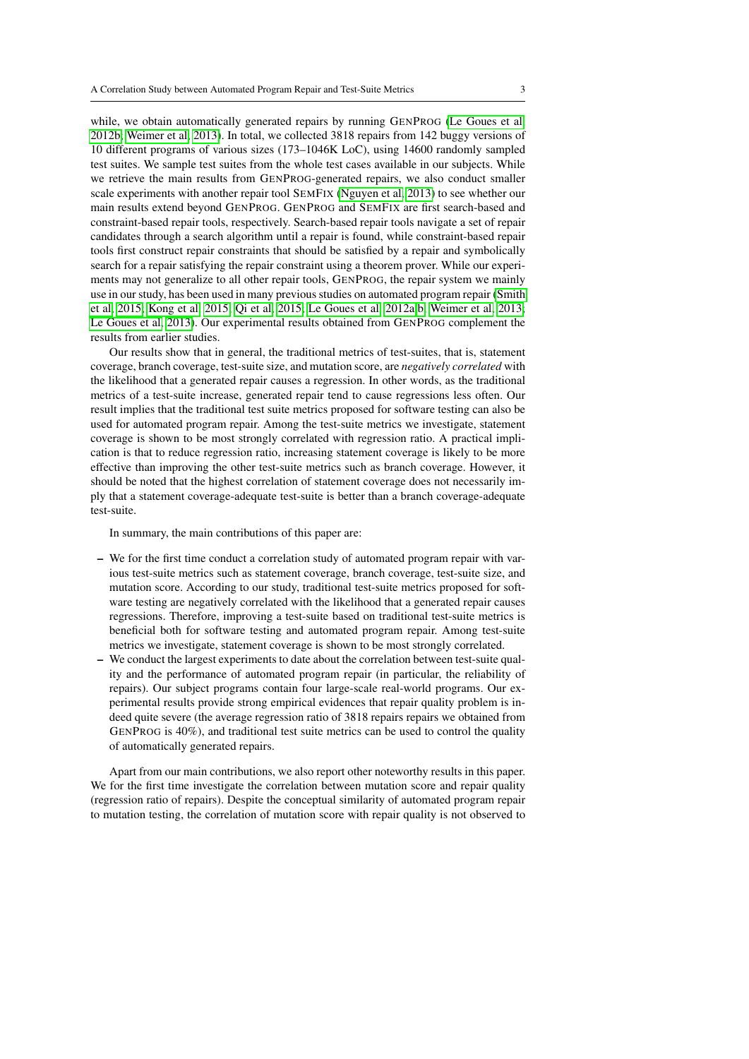while, we obtain automatically generated repairs by running GENPROG [\(Le Goues et al,](#page-27-1) [2012b;](#page-27-1) [Weimer et al, 2013\)](#page-29-0). In total, we collected 3818 repairs from 142 buggy versions of 10 different programs of various sizes (173–1046K LoC), using 14600 randomly sampled test suites. We sample test suites from the whole test cases available in our subjects. While we retrieve the main results from GENPROG-generated repairs, we also conduct smaller scale experiments with another repair tool SEMFIX [\(Nguyen et al, 2013\)](#page-28-0) to see whether our main results extend beyond GENPROG. GENPROG and SEMFIX are first search-based and constraint-based repair tools, respectively. Search-based repair tools navigate a set of repair candidates through a search algorithm until a repair is found, while constraint-based repair tools first construct repair constraints that should be satisfied by a repair and symbolically search for a repair satisfying the repair constraint using a theorem prover. While our experiments may not generalize to all other repair tools, GENPROG, the repair system we mainly use in our study, has been used in many previous studies on automated program repair [\(Smith](#page-29-5) [et al, 2015;](#page-29-5) [Kong et al, 2015;](#page-27-7) [Qi et al, 2015;](#page-29-6) [Le Goues et al, 2012a,](#page-27-0)[b;](#page-27-1) [Weimer et al, 2013;](#page-29-0) [Le Goues et al, 2013\)](#page-28-5). Our experimental results obtained from GENPROG complement the results from earlier studies.

Our results show that in general, the traditional metrics of test-suites, that is, statement coverage, branch coverage, test-suite size, and mutation score, are *negatively correlated* with the likelihood that a generated repair causes a regression. In other words, as the traditional metrics of a test-suite increase, generated repair tend to cause regressions less often. Our result implies that the traditional test suite metrics proposed for software testing can also be used for automated program repair. Among the test-suite metrics we investigate, statement coverage is shown to be most strongly correlated with regression ratio. A practical implication is that to reduce regression ratio, increasing statement coverage is likely to be more effective than improving the other test-suite metrics such as branch coverage. However, it should be noted that the highest correlation of statement coverage does not necessarily imply that a statement coverage-adequate test-suite is better than a branch coverage-adequate test-suite.

In summary, the main contributions of this paper are:

- We for the first time conduct a correlation study of automated program repair with various test-suite metrics such as statement coverage, branch coverage, test-suite size, and mutation score. According to our study, traditional test-suite metrics proposed for software testing are negatively correlated with the likelihood that a generated repair causes regressions. Therefore, improving a test-suite based on traditional test-suite metrics is beneficial both for software testing and automated program repair. Among test-suite metrics we investigate, statement coverage is shown to be most strongly correlated.
- We conduct the largest experiments to date about the correlation between test-suite quality and the performance of automated program repair (in particular, the reliability of repairs). Our subject programs contain four large-scale real-world programs. Our experimental results provide strong empirical evidences that repair quality problem is indeed quite severe (the average regression ratio of 3818 repairs repairs we obtained from GENPROG is 40%), and traditional test suite metrics can be used to control the quality of automatically generated repairs.

Apart from our main contributions, we also report other noteworthy results in this paper. We for the first time investigate the correlation between mutation score and repair quality (regression ratio of repairs). Despite the conceptual similarity of automated program repair to mutation testing, the correlation of mutation score with repair quality is not observed to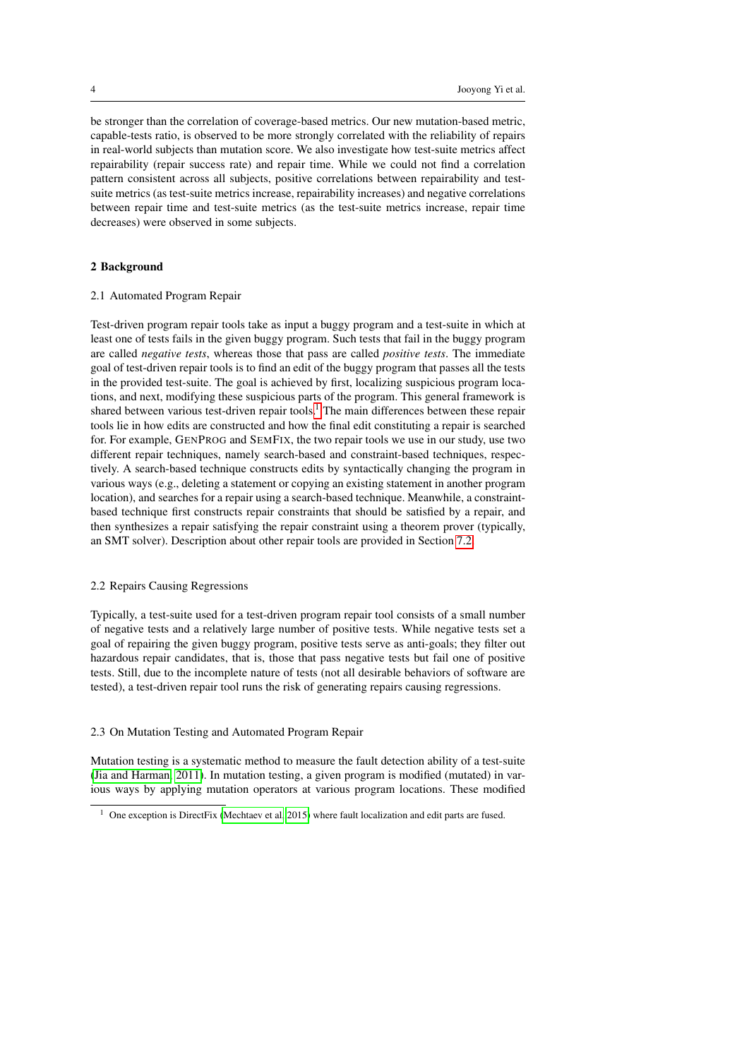be stronger than the correlation of coverage-based metrics. Our new mutation-based metric, capable-tests ratio, is observed to be more strongly correlated with the reliability of repairs in real-world subjects than mutation score. We also investigate how test-suite metrics affect repairability (repair success rate) and repair time. While we could not find a correlation pattern consistent across all subjects, positive correlations between repairability and testsuite metrics (as test-suite metrics increase, repairability increases) and negative correlations between repair time and test-suite metrics (as the test-suite metrics increase, repair time decreases) were observed in some subjects.

# 2 Background

### 2.1 Automated Program Repair

Test-driven program repair tools take as input a buggy program and a test-suite in which at least one of tests fails in the given buggy program. Such tests that fail in the buggy program are called *negative tests*, whereas those that pass are called *positive tests*. The immediate goal of test-driven repair tools is to find an edit of the buggy program that passes all the tests in the provided test-suite. The goal is achieved by first, localizing suspicious program locations, and next, modifying these suspicious parts of the program. This general framework is shared between various test-driven repair tools.<sup>[1](#page-3-0)</sup> The main differences between these repair tools lie in how edits are constructed and how the final edit constituting a repair is searched for. For example, GENPROG and SEMFIX, the two repair tools we use in our study, use two different repair techniques, namely search-based and constraint-based techniques, respectively. A search-based technique constructs edits by syntactically changing the program in various ways (e.g., deleting a statement or copying an existing statement in another program location), and searches for a repair using a search-based technique. Meanwhile, a constraintbased technique first constructs repair constraints that should be satisfied by a repair, and then synthesizes a repair satisfying the repair constraint using a theorem prover (typically, an SMT solver). Description about other repair tools are provided in Section [7.2.](#page-24-0)

#### 2.2 Repairs Causing Regressions

Typically, a test-suite used for a test-driven program repair tool consists of a small number of negative tests and a relatively large number of positive tests. While negative tests set a goal of repairing the given buggy program, positive tests serve as anti-goals; they filter out hazardous repair candidates, that is, those that pass negative tests but fail one of positive tests. Still, due to the incomplete nature of tests (not all desirable behaviors of software are tested), a test-driven repair tool runs the risk of generating repairs causing regressions.

#### 2.3 On Mutation Testing and Automated Program Repair

Mutation testing is a systematic method to measure the fault detection ability of a test-suite [\(Jia and Harman, 2011\)](#page-27-8). In mutation testing, a given program is modified (mutated) in various ways by applying mutation operators at various program locations. These modified

<span id="page-3-0"></span> $1$  One exception is DirectFix [\(Mechtaev et al, 2015\)](#page-28-6) where fault localization and edit parts are fused.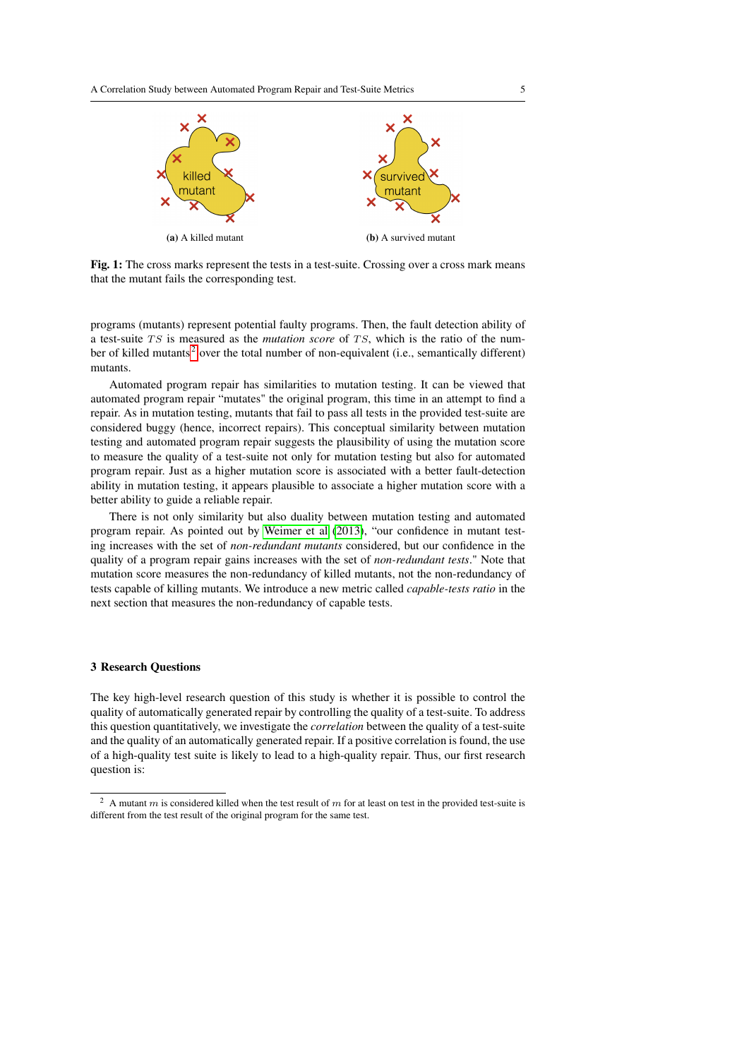<span id="page-4-1"></span>

Fig. 1: The cross marks represent the tests in a test-suite. Crossing over a cross mark means that the mutant fails the corresponding test.

programs (mutants) represent potential faulty programs. Then, the fault detection ability of a test-suite T<sub>S</sub> is measured as the *mutation score* of T<sub>S</sub>, which is the ratio of the num-ber of killed mutants<sup>[2](#page-4-0)</sup> over the total number of non-equivalent (i.e., semantically different) mutants.

Automated program repair has similarities to mutation testing. It can be viewed that automated program repair "mutates" the original program, this time in an attempt to find a repair. As in mutation testing, mutants that fail to pass all tests in the provided test-suite are considered buggy (hence, incorrect repairs). This conceptual similarity between mutation testing and automated program repair suggests the plausibility of using the mutation score to measure the quality of a test-suite not only for mutation testing but also for automated program repair. Just as a higher mutation score is associated with a better fault-detection ability in mutation testing, it appears plausible to associate a higher mutation score with a better ability to guide a reliable repair.

There is not only similarity but also duality between mutation testing and automated program repair. As pointed out by [Weimer et al](#page-29-0) [\(2013\)](#page-29-0), "our confidence in mutant testing increases with the set of *non-redundant mutants* considered, but our confidence in the quality of a program repair gains increases with the set of *non-redundant tests*." Note that mutation score measures the non-redundancy of killed mutants, not the non-redundancy of tests capable of killing mutants. We introduce a new metric called *capable-tests ratio* in the next section that measures the non-redundancy of capable tests.

#### 3 Research Questions

The key high-level research question of this study is whether it is possible to control the quality of automatically generated repair by controlling the quality of a test-suite. To address this question quantitatively, we investigate the *correlation* between the quality of a test-suite and the quality of an automatically generated repair. If a positive correlation is found, the use of a high-quality test suite is likely to lead to a high-quality repair. Thus, our first research question is:

<span id="page-4-0"></span><sup>&</sup>lt;sup>2</sup> A mutant m is considered killed when the test result of m for at least on test in the provided test-suite is different from the test result of the original program for the same test.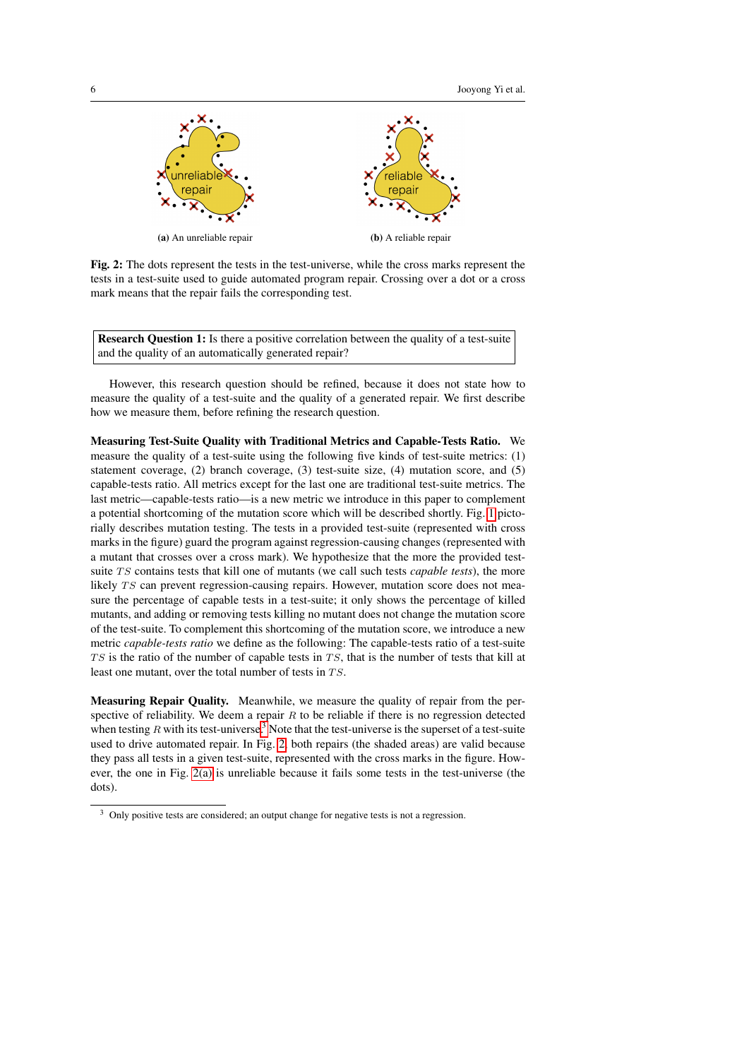<span id="page-5-1"></span>

Fig. 2: The dots represent the tests in the test-universe, while the cross marks represent the tests in a test-suite used to guide automated program repair. Crossing over a dot or a cross mark means that the repair fails the corresponding test.

Research Question 1: Is there a positive correlation between the quality of a test-suite and the quality of an automatically generated repair?

However, this research question should be refined, because it does not state how to measure the quality of a test-suite and the quality of a generated repair. We first describe how we measure them, before refining the research question.

Measuring Test-Suite Quality with Traditional Metrics and Capable-Tests Ratio. We measure the quality of a test-suite using the following five kinds of test-suite metrics: (1) statement coverage, (2) branch coverage, (3) test-suite size, (4) mutation score, and (5) capable-tests ratio. All metrics except for the last one are traditional test-suite metrics. The last metric—capable-tests ratio—is a new metric we introduce in this paper to complement a potential shortcoming of the mutation score which will be described shortly. Fig. [1](#page-4-1) pictorially describes mutation testing. The tests in a provided test-suite (represented with cross marks in the figure) guard the program against regression-causing changes (represented with a mutant that crosses over a cross mark). We hypothesize that the more the provided testsuite TS contains tests that kill one of mutants (we call such tests *capable tests*), the more likely TS can prevent regression-causing repairs. However, mutation score does not measure the percentage of capable tests in a test-suite; it only shows the percentage of killed mutants, and adding or removing tests killing no mutant does not change the mutation score of the test-suite. To complement this shortcoming of the mutation score, we introduce a new metric *capable-tests ratio* we define as the following: The capable-tests ratio of a test-suite  $TS$  is the ratio of the number of capable tests in  $TS$ , that is the number of tests that kill at least one mutant, over the total number of tests in TS.

Measuring Repair Quality. Meanwhile, we measure the quality of repair from the perspective of reliability. We deem a repair  $R$  to be reliable if there is no regression detected when testing  $R$  with its test-univers[e.](#page-5-0)<sup>3</sup> Note that the test-universe is the superset of a test-suite used to drive automated repair. In Fig. [2,](#page-5-1) both repairs (the shaded areas) are valid because they pass all tests in a given test-suite, represented with the cross marks in the figure. However, the one in Fig. [2\(a\)](#page-5-1) is unreliable because it fails some tests in the test-universe (the dots).

<span id="page-5-0"></span><sup>&</sup>lt;sup>3</sup> Only positive tests are considered; an output change for negative tests is not a regression.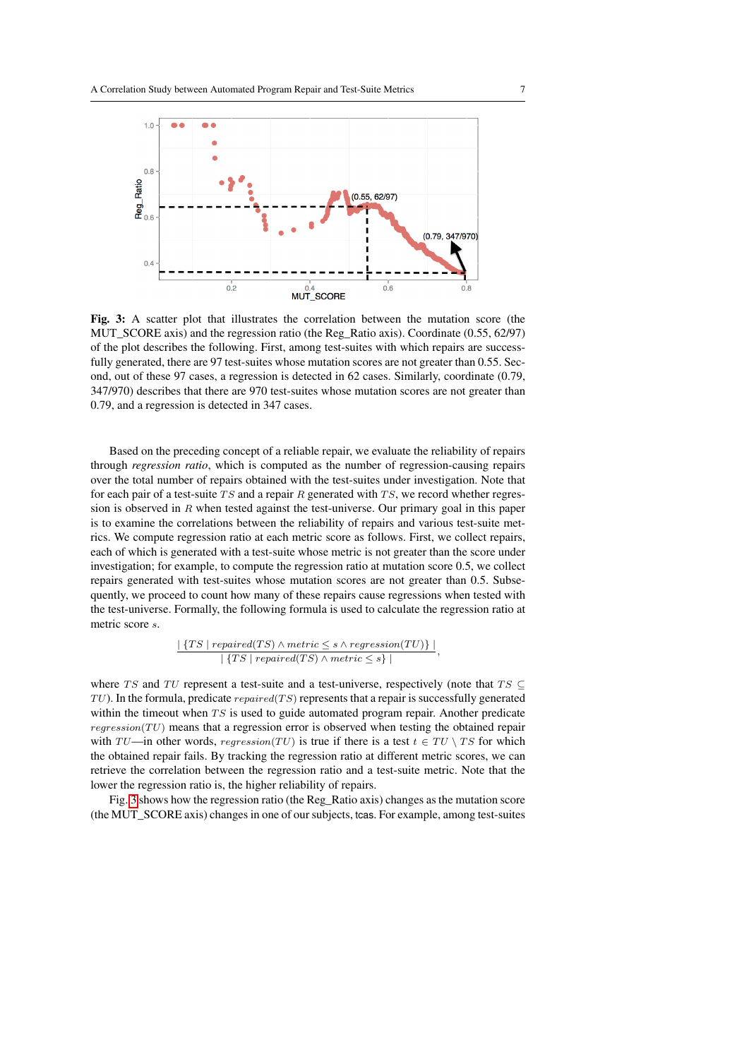<span id="page-6-0"></span>

Fig. 3: A scatter plot that illustrates the correlation between the mutation score (the MUT\_SCORE axis) and the regression ratio (the Reg\_Ratio axis). Coordinate (0.55, 62/97) of the plot describes the following. First, among test-suites with which repairs are successfully generated, there are 97 test-suites whose mutation scores are not greater than 0.55. Second, out of these 97 cases, a regression is detected in 62 cases. Similarly, coordinate (0.79, 347/970) describes that there are 970 test-suites whose mutation scores are not greater than 0.79, and a regression is detected in 347 cases.

Based on the preceding concept of a reliable repair, we evaluate the reliability of repairs through *regression ratio*, which is computed as the number of regression-causing repairs over the total number of repairs obtained with the test-suites under investigation. Note that for each pair of a test-suite TS and a repair R generated with TS, we record whether regression is observed in  $R$  when tested against the test-universe. Our primary goal in this paper is to examine the correlations between the reliability of repairs and various test-suite metrics. We compute regression ratio at each metric score as follows. First, we collect repairs, each of which is generated with a test-suite whose metric is not greater than the score under investigation; for example, to compute the regression ratio at mutation score 0.5, we collect repairs generated with test-suites whose mutation scores are not greater than 0.5. Subsequently, we proceed to count how many of these repairs cause regressions when tested with the test-universe. Formally, the following formula is used to calculate the regression ratio at metric score s.

$$
\frac{|\{TS \mid repaired(TS) \land metric \leq s \land regression(TU)\}|}{|\{TS \mid repaired(TS) \land metric \leq s\}|},
$$

where TS and TU represent a test-suite and a test-universe, respectively (note that TS  $\subset$  $TU$ ). In the formula, predicate  $repaired(TS)$  represents that a repair is successfully generated within the timeout when  $TS$  is used to guide automated program repair. Another predicate  $regression(TU)$  means that a regression error is observed when testing the obtained repair with  $TU$ —in other words, regression(TU) is true if there is a test  $t \in TU \setminus TS$  for which the obtained repair fails. By tracking the regression ratio at different metric scores, we can retrieve the correlation between the regression ratio and a test-suite metric. Note that the lower the regression ratio is, the higher reliability of repairs.

Fig. [3](#page-6-0) shows how the regression ratio (the Reg\_Ratio axis) changes as the mutation score (the MUT\_SCORE axis) changes in one of our subjects, tcas. For example, among test-suites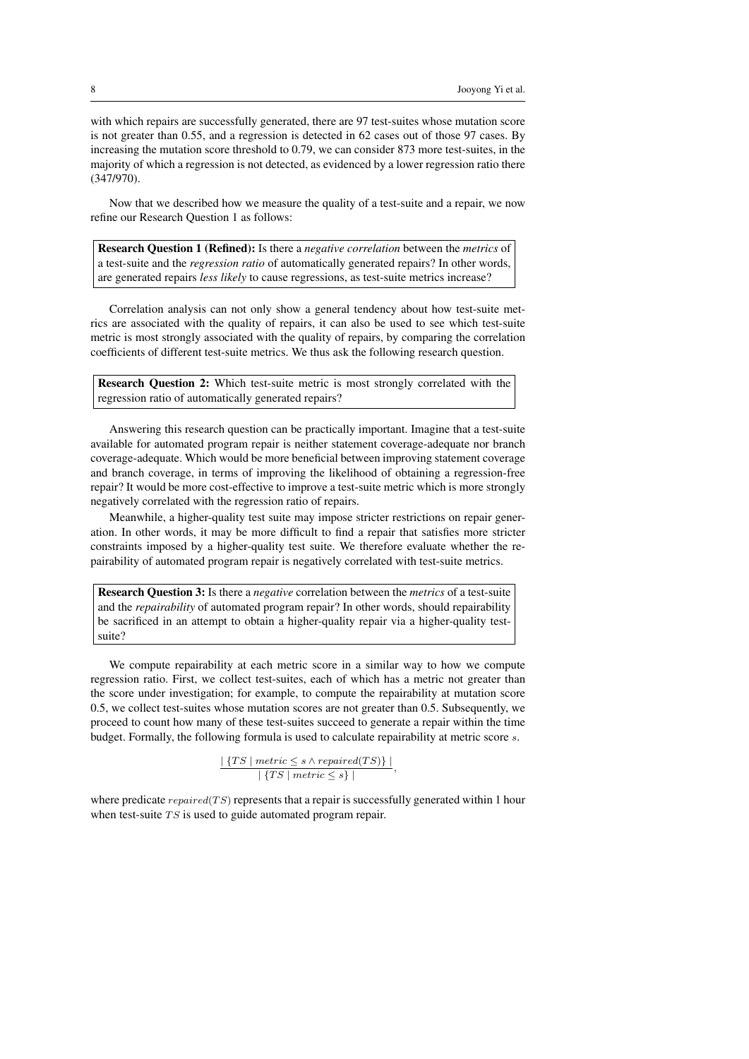with which repairs are successfully generated, there are 97 test-suites whose mutation score is not greater than 0.55, and a regression is detected in 62 cases out of those 97 cases. By increasing the mutation score threshold to 0.79, we can consider 873 more test-suites, in the majority of which a regression is not detected, as evidenced by a lower regression ratio there (347/970).

Now that we described how we measure the quality of a test-suite and a repair, we now refine our Research Question 1 as follows:

<span id="page-7-0"></span>Research Question 1 (Refined): Is there a *negative correlation* between the *metrics* of a test-suite and the *regression ratio* of automatically generated repairs? In other words, are generated repairs *less likely* to cause regressions, as test-suite metrics increase?

Correlation analysis can not only show a general tendency about how test-suite metrics are associated with the quality of repairs, it can also be used to see which test-suite metric is most strongly associated with the quality of repairs, by comparing the correlation coefficients of different test-suite metrics. We thus ask the following research question.

<span id="page-7-1"></span>Research Question 2: Which test-suite metric is most strongly correlated with the regression ratio of automatically generated repairs?

Answering this research question can be practically important. Imagine that a test-suite available for automated program repair is neither statement coverage-adequate nor branch coverage-adequate. Which would be more beneficial between improving statement coverage and branch coverage, in terms of improving the likelihood of obtaining a regression-free repair? It would be more cost-effective to improve a test-suite metric which is more strongly negatively correlated with the regression ratio of repairs.

Meanwhile, a higher-quality test suite may impose stricter restrictions on repair generation. In other words, it may be more difficult to find a repair that satisfies more stricter constraints imposed by a higher-quality test suite. We therefore evaluate whether the repairability of automated program repair is negatively correlated with test-suite metrics.

<span id="page-7-2"></span>Research Question 3: Is there a *negative* correlation between the *metrics* of a test-suite and the *repairability* of automated program repair? In other words, should repairability be sacrificed in an attempt to obtain a higher-quality repair via a higher-quality testsuite?

We compute repairability at each metric score in a similar way to how we compute regression ratio. First, we collect test-suites, each of which has a metric not greater than the score under investigation; for example, to compute the repairability at mutation score 0.5, we collect test-suites whose mutation scores are not greater than 0.5. Subsequently, we proceed to count how many of these test-suites succeed to generate a repair within the time budget. Formally, the following formula is used to calculate repairability at metric score s.

$$
\frac{|\{TS \mid metric \leq s \land repaired(TS)\}|}{|\{TS \mid metric \leq s\}|},
$$

where predicate  $repaired(TS)$  represents that a repair is successfully generated within 1 hour when test-suite  $TS$  is used to guide automated program repair.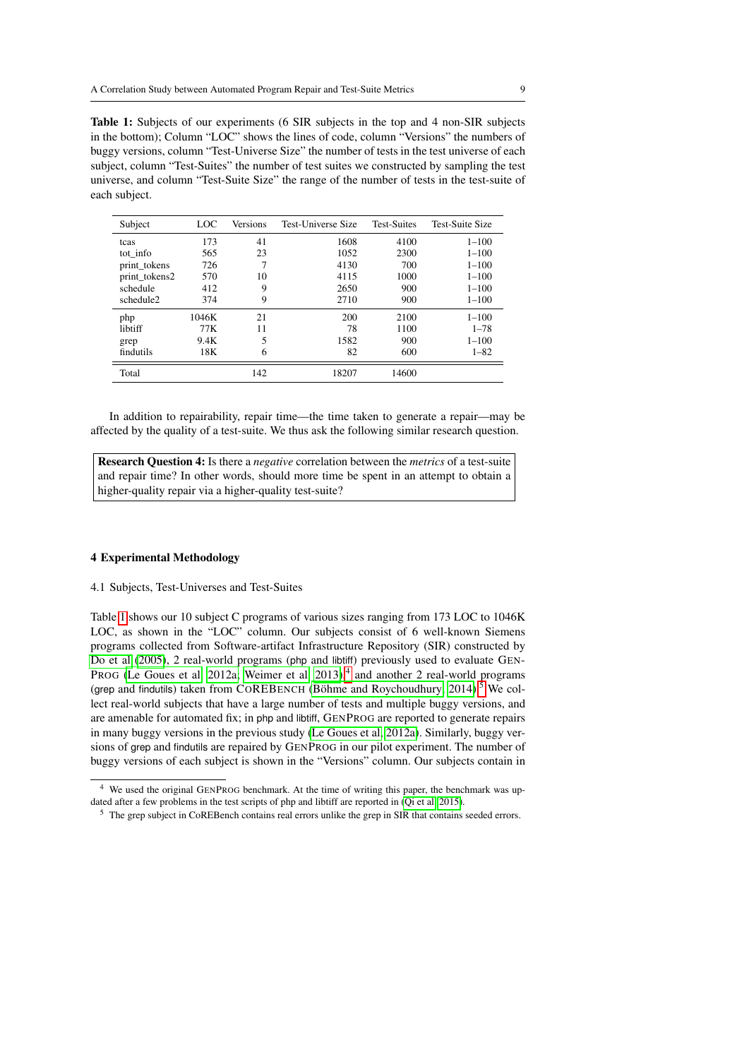<span id="page-8-0"></span>Table 1: Subjects of our experiments (6 SIR subjects in the top and 4 non-SIR subjects in the bottom); Column "LOC" shows the lines of code, column "Versions" the numbers of buggy versions, column "Test-Universe Size" the number of tests in the test universe of each subject, column "Test-Suites" the number of test suites we constructed by sampling the test universe, and column "Test-Suite Size" the range of the number of tests in the test-suite of each subject.

| Subject       | LOC   | Versions | Test-Universe Size | <b>Test-Suites</b> | <b>Test-Suite Size</b> |
|---------------|-------|----------|--------------------|--------------------|------------------------|
| tcas          | 173   | 41       | 1608               | 4100               | $1 - 100$              |
| tot info      | 565   | 23       | 1052               | 2300               | $1 - 100$              |
| print tokens  | 726   |          | 4130               | 700                | $1 - 100$              |
| print tokens2 | 570   | 10       | 4115               | 1000               | $1 - 100$              |
| schedule      | 412   | 9        | 2650               | 900                | $1 - 100$              |
| schedule2     | 374   | 9        | 2710               | 900                | $1 - 100$              |
| php           | 1046K | 21       | 200                | 2100               | $1 - 100$              |
| libtiff       | 77K   | 11       | 78                 | 1100               | $1 - 78$               |
| grep          | 9.4K  | 5        | 1582               | 900                | $1 - 100$              |
| findutils     | 18K   | 6        | 82                 | 600                | $1 - 82$               |
| Total         |       | 142      | 18207              | 14600              |                        |

In addition to repairability, repair time—the time taken to generate a repair—may be affected by the quality of a test-suite. We thus ask the following similar research question.

<span id="page-8-3"></span>Research Question 4: Is there a *negative* correlation between the *metrics* of a test-suite and repair time? In other words, should more time be spent in an attempt to obtain a higher-quality repair via a higher-quality test-suite?

# 4 Experimental Methodology

### 4.1 Subjects, Test-Universes and Test-Suites

Table [1](#page-8-0) shows our 10 subject C programs of various sizes ranging from 173 LOC to 1046K LOC, as shown in the "LOC" column. Our subjects consist of 6 well-known Siemens programs collected from Software-artifact Infrastructure Repository (SIR) constructed by [Do et al](#page-27-5) [\(2005\)](#page-27-5), 2 real-world programs (php and libtiff) previously used to evaluate GEN-PROG [\(Le Goues et al, 2012a;](#page-27-0) [Weimer et al, 2013\)](#page-29-0), $<sup>4</sup>$  $<sup>4</sup>$  $<sup>4</sup>$  and another 2 real-world programs</sup> (grep and findutils) taken from COREBENCH (Böhme and Roychoudhury,  $2014$ ).<sup>[5](#page-8-2)</sup> We collect real-world subjects that have a large number of tests and multiple buggy versions, and are amenable for automated fix; in php and libtiff, GENPROG are reported to generate repairs in many buggy versions in the previous study [\(Le Goues et al, 2012a\)](#page-27-0). Similarly, buggy versions of grep and findutils are repaired by GENPROG in our pilot experiment. The number of buggy versions of each subject is shown in the "Versions" column. Our subjects contain in

<span id="page-8-1"></span><sup>4</sup> We used the original GENPROG benchmark. At the time of writing this paper, the benchmark was updated after a few problems in the test scripts of php and libtiff are reported in [\(Qi et al, 2015\)](#page-29-6).

<span id="page-8-2"></span><sup>&</sup>lt;sup>5</sup> The grep subject in CoREBench contains real errors unlike the grep in SIR that contains seeded errors.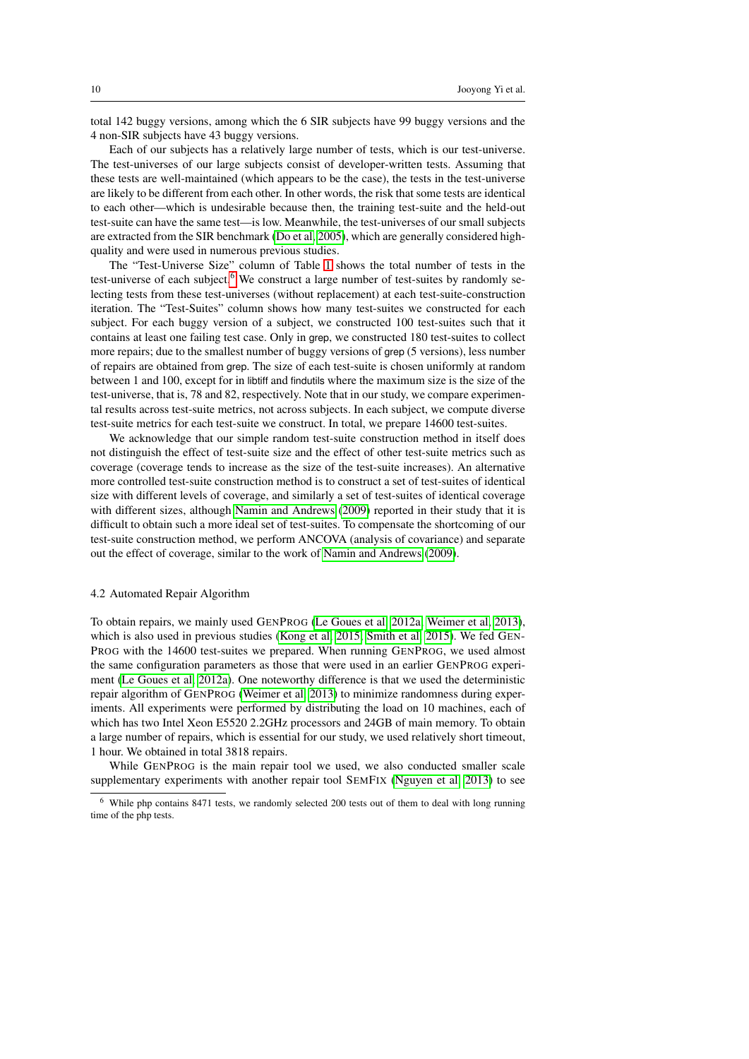total 142 buggy versions, among which the 6 SIR subjects have 99 buggy versions and the 4 non-SIR subjects have 43 buggy versions.

Each of our subjects has a relatively large number of tests, which is our test-universe. The test-universes of our large subjects consist of developer-written tests. Assuming that these tests are well-maintained (which appears to be the case), the tests in the test-universe are likely to be different from each other. In other words, the risk that some tests are identical to each other—which is undesirable because then, the training test-suite and the held-out test-suite can have the same test—is low. Meanwhile, the test-universes of our small subjects are extracted from the SIR benchmark [\(Do et al, 2005\)](#page-27-5), which are generally considered highquality and were used in numerous previous studies.

The "Test-Universe Size" column of Table [1](#page-8-0) shows the total number of tests in the test-universe of each subject.<sup>[6](#page-9-0)</sup> We construct a large number of test-suites by randomly selecting tests from these test-universes (without replacement) at each test-suite-construction iteration. The "Test-Suites" column shows how many test-suites we constructed for each subject. For each buggy version of a subject, we constructed 100 test-suites such that it contains at least one failing test case. Only in grep, we constructed 180 test-suites to collect more repairs; due to the smallest number of buggy versions of grep (5 versions), less number of repairs are obtained from grep. The size of each test-suite is chosen uniformly at random between 1 and 100, except for in libtiff and findutils where the maximum size is the size of the test-universe, that is, 78 and 82, respectively. Note that in our study, we compare experimental results across test-suite metrics, not across subjects. In each subject, we compute diverse test-suite metrics for each test-suite we construct. In total, we prepare 14600 test-suites.

We acknowledge that our simple random test-suite construction method in itself does not distinguish the effect of test-suite size and the effect of other test-suite metrics such as coverage (coverage tends to increase as the size of the test-suite increases). An alternative more controlled test-suite construction method is to construct a set of test-suites of identical size with different levels of coverage, and similarly a set of test-suites of identical coverage with different sizes, although [Namin and Andrews](#page-28-7) [\(2009\)](#page-28-7) reported in their study that it is difficult to obtain such a more ideal set of test-suites. To compensate the shortcoming of our test-suite construction method, we perform ANCOVA (analysis of covariance) and separate out the effect of coverage, similar to the work of [Namin and Andrews](#page-28-7) [\(2009\)](#page-28-7).

#### 4.2 Automated Repair Algorithm

To obtain repairs, we mainly used GENPROG [\(Le Goues et al, 2012a;](#page-27-0) [Weimer et al, 2013\)](#page-29-0), which is also used in previous studies [\(Kong et al, 2015;](#page-27-7) [Smith et al, 2015\)](#page-29-5). We fed GEN-PROG with the 14600 test-suites we prepared. When running GENPROG, we used almost the same configuration parameters as those that were used in an earlier GENPROG experiment [\(Le Goues et al, 2012a\)](#page-27-0). One noteworthy difference is that we used the deterministic repair algorithm of GENPROG [\(Weimer et al, 2013\)](#page-29-0) to minimize randomness during experiments. All experiments were performed by distributing the load on 10 machines, each of which has two Intel Xeon E5520 2.2GHz processors and 24GB of main memory. To obtain a large number of repairs, which is essential for our study, we used relatively short timeout, 1 hour. We obtained in total 3818 repairs.

While GENPROG is the main repair tool we used, we also conducted smaller scale supplementary experiments with another repair tool SEMFIX [\(Nguyen et al, 2013\)](#page-28-0) to see

<span id="page-9-0"></span><sup>6</sup> While php contains 8471 tests, we randomly selected 200 tests out of them to deal with long running time of the php tests.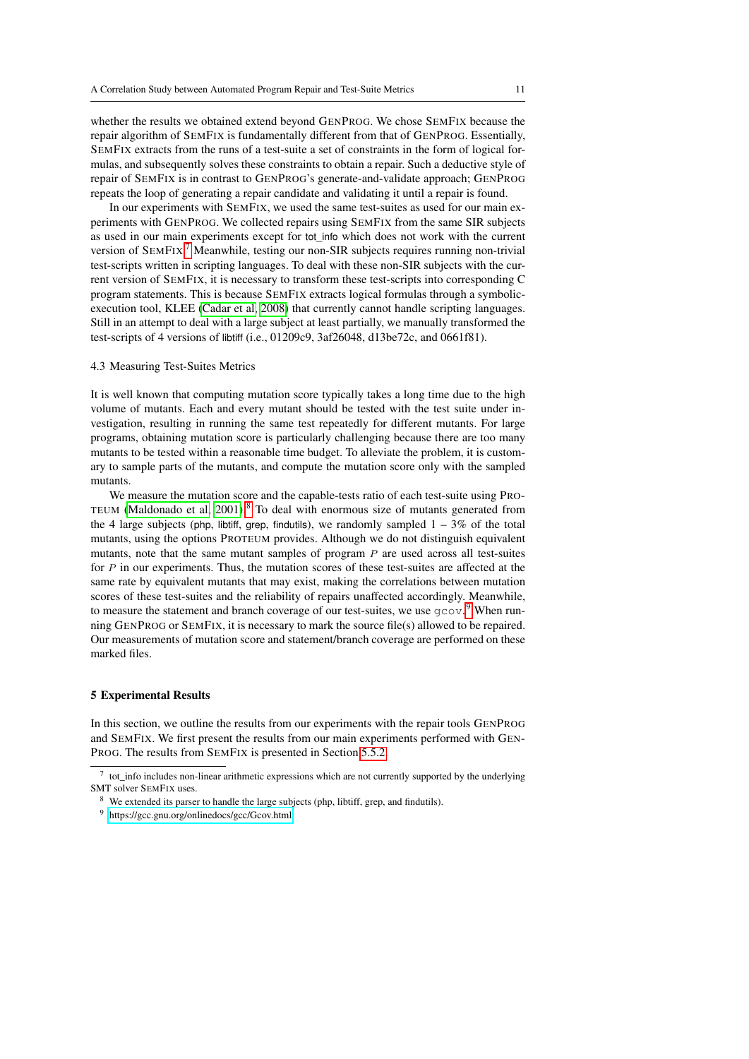whether the results we obtained extend beyond GENPROG. We chose SEMFIX because the repair algorithm of SEMFIX is fundamentally different from that of GENPROG. Essentially, SEMFIX extracts from the runs of a test-suite a set of constraints in the form of logical formulas, and subsequently solves these constraints to obtain a repair. Such a deductive style of repair of SEMFIX is in contrast to GENPROG's generate-and-validate approach; GENPROG repeats the loop of generating a repair candidate and validating it until a repair is found.

In our experiments with SEMFIX, we used the same test-suites as used for our main experiments with GENPROG. We collected repairs using SEMFIX from the same SIR subjects as used in our main experiments except for tot info which does not work with the current version of SEMFIX.<sup>[7](#page-10-0)</sup> Meanwhile, testing our non-SIR subjects requires running non-trivial test-scripts written in scripting languages. To deal with these non-SIR subjects with the current version of SEMFIX, it is necessary to transform these test-scripts into corresponding C program statements. This is because SEMFIX extracts logical formulas through a symbolicexecution tool, KLEE [\(Cadar et al, 2008\)](#page-26-2) that currently cannot handle scripting languages. Still in an attempt to deal with a large subject at least partially, we manually transformed the test-scripts of 4 versions of libtiff (i.e., 01209c9, 3af26048, d13be72c, and 0661f81).

#### 4.3 Measuring Test-Suites Metrics

It is well known that computing mutation score typically takes a long time due to the high volume of mutants. Each and every mutant should be tested with the test suite under investigation, resulting in running the same test repeatedly for different mutants. For large programs, obtaining mutation score is particularly challenging because there are too many mutants to be tested within a reasonable time budget. To alleviate the problem, it is customary to sample parts of the mutants, and compute the mutation score only with the sampled mutants.

We measure the mutation score and the capable-tests ratio of each test-suite using PRO-TEUM (Maldonado et al,  $2001$ ).<sup>[8](#page-10-1)</sup> To deal with enormous size of mutants generated from the 4 large subjects (php, libtiff, grep, findutils), we randomly sampled  $1 - 3\%$  of the total mutants, using the options PROTEUM provides. Although we do not distinguish equivalent mutants, note that the same mutant samples of program  $P$  are used across all test-suites for  $P$  in our experiments. Thus, the mutation scores of these test-suites are affected at the same rate by equivalent mutants that may exist, making the correlations between mutation scores of these test-suites and the reliability of repairs unaffected accordingly. Meanwhile, to measure the statement and branch coverage of our test-suites, we use  $qcov$ . When running GENPROG or SEMFIX, it is necessary to mark the source file(s) allowed to be repaired. Our measurements of mutation score and statement/branch coverage are performed on these marked files.

#### 5 Experimental Results

In this section, we outline the results from our experiments with the repair tools GENPROG and SEMFIX. We first present the results from our main experiments performed with GEN-PROG. The results from SEMFIX is presented in Section [5.5.2.](#page-19-0)

<span id="page-10-2"></span><sup>9</sup> <https://gcc.gnu.org/onlinedocs/gcc/Gcov.html>

<span id="page-10-0"></span> $\frac{7}{1}$  tot\_info includes non-linear arithmetic expressions which are not currently supported by the underlying SMT solver SEMFIX uses.

<span id="page-10-1"></span><sup>&</sup>lt;sup>8</sup> We extended its parser to handle the large subjects (php, libtiff, grep, and findutils).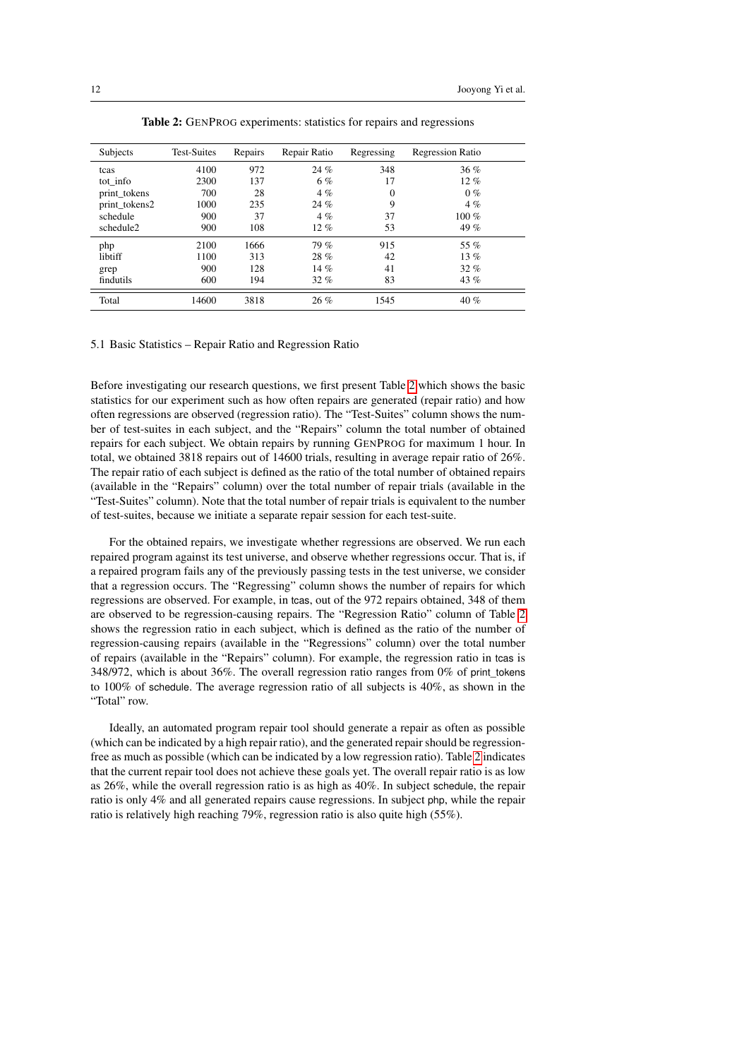<span id="page-11-0"></span>

| Subjects      | <b>Test-Suites</b> | Repairs | Repair Ratio | Regressing     | <b>Regression Ratio</b> |  |
|---------------|--------------------|---------|--------------|----------------|-------------------------|--|
| tcas          | 4100               | 972     | 24%          | 348            | 36%                     |  |
| tot info      | 2300               | 137     | 6%           | 17             | 12%                     |  |
| print tokens  | 700                | 28      | 4%           | $\overline{0}$ | $0\%$                   |  |
| print_tokens2 | 1000               | 235     | 24 %         | 9              | 4%                      |  |
| schedule      | 900                | 37      | 4%           | 37             | $100\%$                 |  |
| schedule2     | 900                | 108     | $12\%$       | 53             | 49%                     |  |
| php           | 2100               | 1666    | 79%          | 915            | 55 %                    |  |
| libtiff       | 1100               | 313     | 28%          | 42             | 13%                     |  |
| grep          | 900                | 128     | 14%          | 41             | 32%                     |  |
| findutils     | 600                | 194     | 32%          | 83             | 43 %                    |  |
| Total         | 14600              | 3818    | 26 %         | 1545           | 40 %                    |  |

Table 2: GENPROG experiments: statistics for repairs and regressions

#### 5.1 Basic Statistics – Repair Ratio and Regression Ratio

Before investigating our research questions, we first present Table [2](#page-11-0) which shows the basic statistics for our experiment such as how often repairs are generated (repair ratio) and how often regressions are observed (regression ratio). The "Test-Suites" column shows the number of test-suites in each subject, and the "Repairs" column the total number of obtained repairs for each subject. We obtain repairs by running GENPROG for maximum 1 hour. In total, we obtained 3818 repairs out of 14600 trials, resulting in average repair ratio of 26%. The repair ratio of each subject is defined as the ratio of the total number of obtained repairs (available in the "Repairs" column) over the total number of repair trials (available in the "Test-Suites" column). Note that the total number of repair trials is equivalent to the number of test-suites, because we initiate a separate repair session for each test-suite.

For the obtained repairs, we investigate whether regressions are observed. We run each repaired program against its test universe, and observe whether regressions occur. That is, if a repaired program fails any of the previously passing tests in the test universe, we consider that a regression occurs. The "Regressing" column shows the number of repairs for which regressions are observed. For example, in tcas, out of the 972 repairs obtained, 348 of them are observed to be regression-causing repairs. The "Regression Ratio" column of Table [2](#page-11-0) shows the regression ratio in each subject, which is defined as the ratio of the number of regression-causing repairs (available in the "Regressions" column) over the total number of repairs (available in the "Repairs" column). For example, the regression ratio in tcas is 348/972, which is about 36%. The overall regression ratio ranges from 0% of print\_tokens to 100% of schedule. The average regression ratio of all subjects is 40%, as shown in the "Total" row.

Ideally, an automated program repair tool should generate a repair as often as possible (which can be indicated by a high repair ratio), and the generated repair should be regressionfree as much as possible (which can be indicated by a low regression ratio). Table [2](#page-11-0) indicates that the current repair tool does not achieve these goals yet. The overall repair ratio is as low as 26%, while the overall regression ratio is as high as 40%. In subject schedule, the repair ratio is only 4% and all generated repairs cause regressions. In subject php, while the repair ratio is relatively high reaching 79%, regression ratio is also quite high (55%).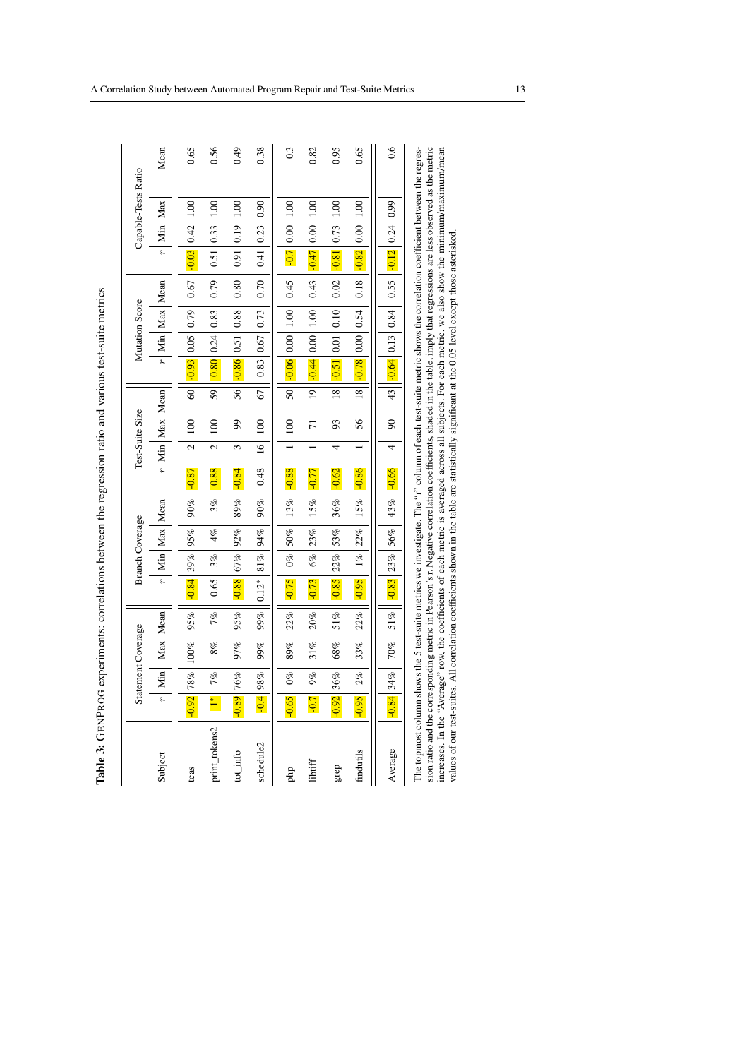| <b>Consultation</b>    |
|------------------------|
| しゅうしょう                 |
| י<br>;                 |
|                        |
|                        |
| <b>CONTRACTOR</b><br>I |
| .<br>.<br>.<br>.<br>i  |
|                        |
|                        |
| l                      |
|                        |
| י בבבר                 |

<span id="page-12-0"></span>

|                                                                                                                                                                  |                |             | Statement Coverage |        |               |                  | <b>Branch Coverage</b> |     |         |                          | Test-Suite Size      |                 |                                                                                    |               | Mutation Score       |      |                |               | Capable-Tests Ratio |      |
|------------------------------------------------------------------------------------------------------------------------------------------------------------------|----------------|-------------|--------------------|--------|---------------|------------------|------------------------|-----|---------|--------------------------|----------------------|-----------------|------------------------------------------------------------------------------------|---------------|----------------------|------|----------------|---------------|---------------------|------|
| Subject                                                                                                                                                          | $\overline{r}$ | Min         | Max                | Mean   | $\frac{1}{2}$ | Min <sup>1</sup> | Max   Mean             |     |         |                          | r   Min   Max   Mean |                 |                                                                                    |               | r   Min   Max   Mean |      |                | $r$   Min     | Max                 | Mean |
| tcas                                                                                                                                                             | $-0.92$        | 78%         | 100%               | 95%    | $-0.84$       | 39%              | 95%                    | 90% | $-0.87$ | $\mathcal{L}$            | 100                  | 60              | $\overline{\phantom{0}0.03}$ $\overline{\phantom{0}0.05}$ $\overline{\phantom{0}}$ |               | 0.79                 | 0.67 | $-0.03$   0.42 |               | 1.00                | 0.65 |
| print_tokens2                                                                                                                                                    | $\frac{*}{1}$  | 7%          | $8\%$              | 7%     | 0.65          | 3%               | 4%                     | 3%  | $-0.88$ | $\overline{\mathcal{C}}$ | $\overline{00}$      | 59              | $-0.80$                                                                            | 0.24          | 0.83                 | 0.79 | 0.51           | 0.33          | 1.00                | 0.56 |
| tot_info                                                                                                                                                         | $-0.89$        | 76%         | 97%                | 95%    | $-0.88$       | 67%              | 92%                    | 89% | $-0.84$ | $\epsilon$               | 99                   | 56              | $-0.86$                                                                            | 0.51          | 0.88                 | 0.80 | 0.91           | 0.19          | 1.00                | 64.0 |
| schedule2                                                                                                                                                        | $-0.4$         | 98%         | 99%                | 99%    | $ 0.12*$      | 81%              | 94%                    | 90% | 0.48    | $\overline{16}$          | $\overline{100}$     | 67              |                                                                                    | 0.83   0.67   | 0.73                 | 0.70 | 0.41           | 0.23          | 0.90                | 0.38 |
| atg                                                                                                                                                              | $-0.65$        | $0\%$       | 89%                | 22%    | $-0.75$       | $0\%$            | $50\%$                 | 13% | $-0.88$ |                          | 100                  | $50\,$          | $\mid 0.06 \mid 0.00 \mid 1.00$                                                    |               |                      | 0.45 | $-0.7$         | 0.00          | 00.1                | 0.3  |
| libtiff                                                                                                                                                          | $-0.7$         | 9%          | 31%                | 20%    | $-0.73$       | 6%               | 23%                    | 15% | $-0.77$ |                          | $\overline{71}$      | $\overline{19}$ | $-0.44$                                                                            | $0.00$   1.00 |                      | 0.43 | $-0.47$        | $\frac{1}{2}$ | 1.00                | 0.82 |
| grep                                                                                                                                                             | $-0.92$        | 36%         | 68%                | $51\%$ | $-0.85$       | 22%              | 53%                    | 36% | $-0.62$ | 4                        | 93                   | $\frac{8}{2}$   | $-0.51$                                                                            | 0.01          | 0.10                 | 0.02 | $-0.81$        | 0.73          | 1.00                | 0.95 |
| findutils                                                                                                                                                        | $-0.95$        | 2%          | 33%                | 22%    | $-0.95$       | $1\%$            | 22%                    | 15% | $-0.86$ |                          | 56                   | 18              | $-0.78$   0.00                                                                     |               | 0.54                 | 0.18 | $-0.82$        | 0.00          | 1.00                | 0.65 |
| Average                                                                                                                                                          |                | $-0.84$ 34% | 70%                | $51\%$ | $-0.83$   23% |                  | $-260%$                | 43% | $-0.66$ | 4                        | $\overline{6}$       | 43              | $\mid$ -0.64 $\mid$ 0.13 $\mid$                                                    |               | 0.84                 | 0.55 | $-0.12$   0.24 |               | 0.99                | 0.6  |
| The topmost column shows the 5 test-suite metrics we investigate. The "r" column of each test-suite metric shows the correlation coefficient between the regres- |                |             |                    |        |               |                  |                        |     |         |                          |                      |                 |                                                                                    |               |                      |      |                |               |                     |      |

sion ratio and the corresponding metric in Pearson's r. Negative correlation coefficients, shaded in the table, imply that regressions are less observed as the metric<br>increases. In the "Average" row, the coefficients of ea sion ratio and the corresponding metric in Pearson's r. Negative correlation coefficients, shaded in the table, imply that regressions are less observed as the metric increases. In the "Average" row, the coefficients of each metric is averaged across all subjects. For each metric, we also show the minimum/maximum/mean values of our test-suites. All correlation coefficients shown in the table are statistically significant at the 0.05 level except those asterisked.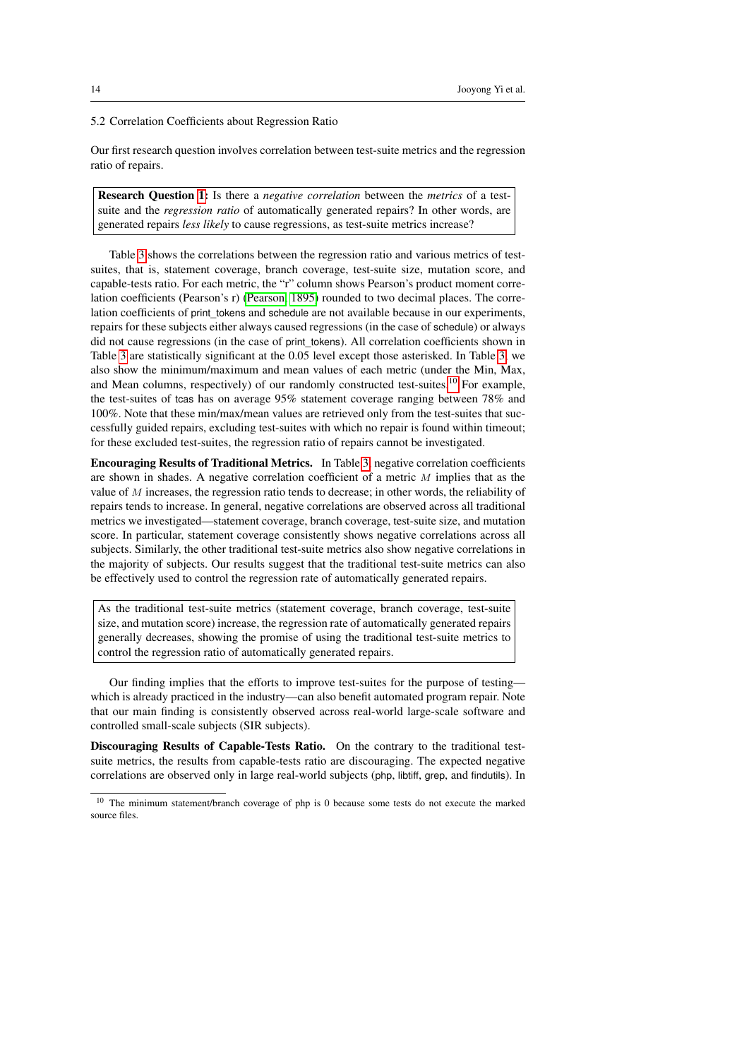# <span id="page-13-1"></span>5.2 Correlation Coefficients about Regression Ratio

Our first research question involves correlation between test-suite metrics and the regression ratio of repairs.

Research Question [1:](#page-7-0) Is there a *negative correlation* between the *metrics* of a testsuite and the *regression ratio* of automatically generated repairs? In other words, are generated repairs *less likely* to cause regressions, as test-suite metrics increase?

Table [3](#page-12-0) shows the correlations between the regression ratio and various metrics of testsuites, that is, statement coverage, branch coverage, test-suite size, mutation score, and capable-tests ratio. For each metric, the "r" column shows Pearson's product moment correlation coefficients (Pearson's r) [\(Pearson, 1895\)](#page-28-9) rounded to two decimal places. The correlation coefficients of print\_tokens and schedule are not available because in our experiments, repairs for these subjects either always caused regressions (in the case of schedule) or always did not cause regressions (in the case of print\_tokens). All correlation coefficients shown in Table [3](#page-12-0) are statistically significant at the 0.05 level except those asterisked. In Table [3,](#page-12-0) we also show the minimum/maximum and mean values of each metric (under the Min, Max, and Mean columns, respectively) of our randomly constructed test-suites.<sup>[10](#page-13-0)</sup> For example, the test-suites of tcas has on average 95% statement coverage ranging between 78% and 100%. Note that these min/max/mean values are retrieved only from the test-suites that successfully guided repairs, excluding test-suites with which no repair is found within timeout; for these excluded test-suites, the regression ratio of repairs cannot be investigated.

Encouraging Results of Traditional Metrics. In Table [3,](#page-12-0) negative correlation coefficients are shown in shades. A negative correlation coefficient of a metric M implies that as the value of M increases, the regression ratio tends to decrease; in other words, the reliability of repairs tends to increase. In general, negative correlations are observed across all traditional metrics we investigated—statement coverage, branch coverage, test-suite size, and mutation score. In particular, statement coverage consistently shows negative correlations across all subjects. Similarly, the other traditional test-suite metrics also show negative correlations in the majority of subjects. Our results suggest that the traditional test-suite metrics can also be effectively used to control the regression rate of automatically generated repairs.

As the traditional test-suite metrics (statement coverage, branch coverage, test-suite size, and mutation score) increase, the regression rate of automatically generated repairs generally decreases, showing the promise of using the traditional test-suite metrics to control the regression ratio of automatically generated repairs.

Our finding implies that the efforts to improve test-suites for the purpose of testing which is already practiced in the industry—can also benefit automated program repair. Note that our main finding is consistently observed across real-world large-scale software and controlled small-scale subjects (SIR subjects).

Discouraging Results of Capable-Tests Ratio. On the contrary to the traditional testsuite metrics, the results from capable-tests ratio are discouraging. The expected negative correlations are observed only in large real-world subjects (php, libtiff, grep, and findutils). In

<span id="page-13-0"></span><sup>10</sup> The minimum statement/branch coverage of php is 0 because some tests do not execute the marked source files.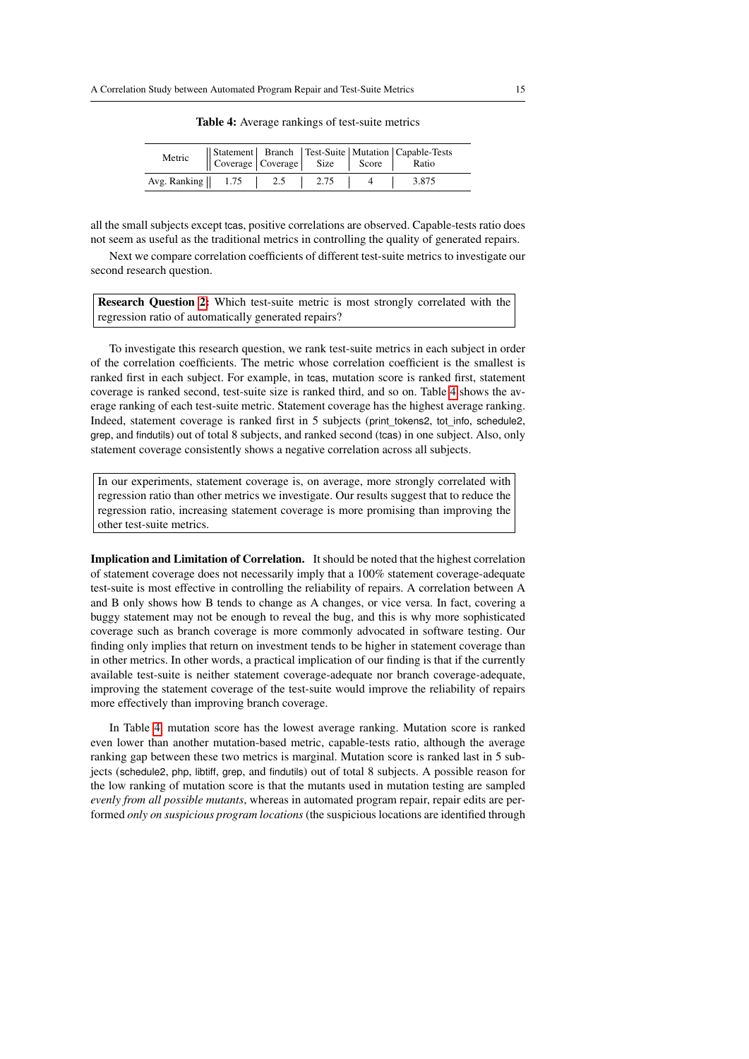<span id="page-14-0"></span>

| Metric                               |  |  | Statement    Branch    Test-Suite    Mutation    Capable-Tests<br>  Coverage    Coverage    Size    Score    Ratio |
|--------------------------------------|--|--|--------------------------------------------------------------------------------------------------------------------|
| Avg. Ranking   1.75   2.5   2.75   4 |  |  | 3.875                                                                                                              |

Table 4: Average rankings of test-suite metrics

all the small subjects except tcas, positive correlations are observed. Capable-tests ratio does not seem as useful as the traditional metrics in controlling the quality of generated repairs.

Next we compare correlation coefficients of different test-suite metrics to investigate our second research question.

Research Question [2:](#page-7-1) Which test-suite metric is most strongly correlated with the regression ratio of automatically generated repairs?

To investigate this research question, we rank test-suite metrics in each subject in order of the correlation coefficients. The metric whose correlation coefficient is the smallest is ranked first in each subject. For example, in tcas, mutation score is ranked first, statement coverage is ranked second, test-suite size is ranked third, and so on. Table [4](#page-14-0) shows the average ranking of each test-suite metric. Statement coverage has the highest average ranking. Indeed, statement coverage is ranked first in 5 subjects (print\_tokens2, tot\_info, schedule2, grep, and findutils) out of total 8 subjects, and ranked second (tcas) in one subject. Also, only statement coverage consistently shows a negative correlation across all subjects.

In our experiments, statement coverage is, on average, more strongly correlated with regression ratio than other metrics we investigate. Our results suggest that to reduce the regression ratio, increasing statement coverage is more promising than improving the other test-suite metrics.

Implication and Limitation of Correlation. It should be noted that the highest correlation of statement coverage does not necessarily imply that a 100% statement coverage-adequate test-suite is most effective in controlling the reliability of repairs. A correlation between A and B only shows how B tends to change as A changes, or vice versa. In fact, covering a buggy statement may not be enough to reveal the bug, and this is why more sophisticated coverage such as branch coverage is more commonly advocated in software testing. Our finding only implies that return on investment tends to be higher in statement coverage than in other metrics. In other words, a practical implication of our finding is that if the currently available test-suite is neither statement coverage-adequate nor branch coverage-adequate, improving the statement coverage of the test-suite would improve the reliability of repairs more effectively than improving branch coverage.

In Table [4,](#page-14-0) mutation score has the lowest average ranking. Mutation score is ranked even lower than another mutation-based metric, capable-tests ratio, although the average ranking gap between these two metrics is marginal. Mutation score is ranked last in 5 subjects (schedule2, php, libtiff, grep, and findutils) out of total 8 subjects. A possible reason for the low ranking of mutation score is that the mutants used in mutation testing are sampled *evenly from all possible mutants*, whereas in automated program repair, repair edits are performed *only on suspicious program locations* (the suspicious locations are identified through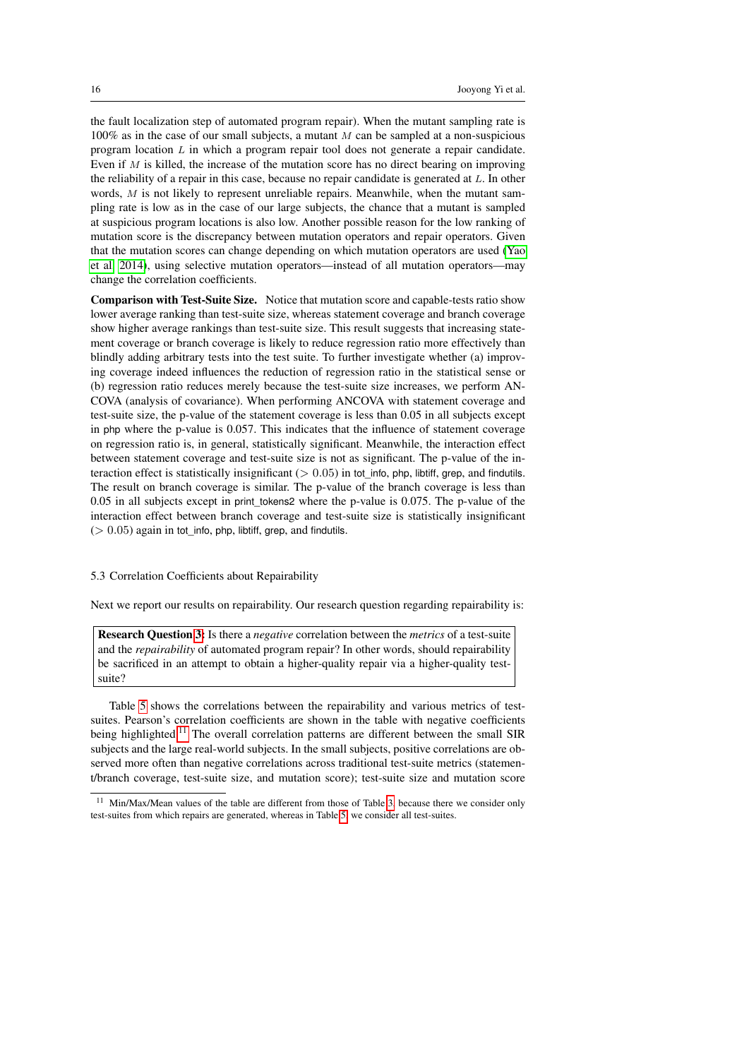the fault localization step of automated program repair). When the mutant sampling rate is  $100\%$  as in the case of our small subjects, a mutant M can be sampled at a non-suspicious program location  $L$  in which a program repair tool does not generate a repair candidate. Even if  $M$  is killed, the increase of the mutation score has no direct bearing on improving the reliability of a repair in this case, because no repair candidate is generated at L. In other words,  $M$  is not likely to represent unreliable repairs. Meanwhile, when the mutant sampling rate is low as in the case of our large subjects, the chance that a mutant is sampled at suspicious program locations is also low. Another possible reason for the low ranking of mutation score is the discrepancy between mutation operators and repair operators. Given that the mutation scores can change depending on which mutation operators are used [\(Yao](#page-29-7) [et al, 2014\)](#page-29-7), using selective mutation operators—instead of all mutation operators—may change the correlation coefficients.

Comparison with Test-Suite Size. Notice that mutation score and capable-tests ratio show lower average ranking than test-suite size, whereas statement coverage and branch coverage show higher average rankings than test-suite size. This result suggests that increasing statement coverage or branch coverage is likely to reduce regression ratio more effectively than blindly adding arbitrary tests into the test suite. To further investigate whether (a) improving coverage indeed influences the reduction of regression ratio in the statistical sense or (b) regression ratio reduces merely because the test-suite size increases, we perform AN-COVA (analysis of covariance). When performing ANCOVA with statement coverage and test-suite size, the p-value of the statement coverage is less than 0.05 in all subjects except in php where the p-value is 0.057. This indicates that the influence of statement coverage on regression ratio is, in general, statistically significant. Meanwhile, the interaction effect between statement coverage and test-suite size is not as significant. The p-value of the interaction effect is statistically insignificant ( $> 0.05$ ) in tot info, php, libtiff, grep, and findutils. The result on branch coverage is similar. The p-value of the branch coverage is less than 0.05 in all subjects except in print\_tokens2 where the p-value is 0.075. The p-value of the interaction effect between branch coverage and test-suite size is statistically insignificant  $(> 0.05)$  again in tot\_info, php, libtiff, grep, and findutils.

# 5.3 Correlation Coefficients about Repairability

Next we report our results on repairability. Our research question regarding repairability is:

Research Question [3:](#page-7-2) Is there a *negative* correlation between the *metrics* of a test-suite and the *repairability* of automated program repair? In other words, should repairability be sacrificed in an attempt to obtain a higher-quality repair via a higher-quality testsuite?

Table [5](#page-16-0) shows the correlations between the repairability and various metrics of testsuites. Pearson's correlation coefficients are shown in the table with negative coefficients being highlighted.<sup>[11](#page-15-0)</sup> The overall correlation patterns are different between the small SIR subjects and the large real-world subjects. In the small subjects, positive correlations are observed more often than negative correlations across traditional test-suite metrics (statement/branch coverage, test-suite size, and mutation score); test-suite size and mutation score

<span id="page-15-0"></span><sup>&</sup>lt;sup>11</sup> Min/Max/Mean values of the table are different from those of Table [3,](#page-12-0) because there we consider only test-suites from which repairs are generated, whereas in Table [5,](#page-16-0) we consider all test-suites.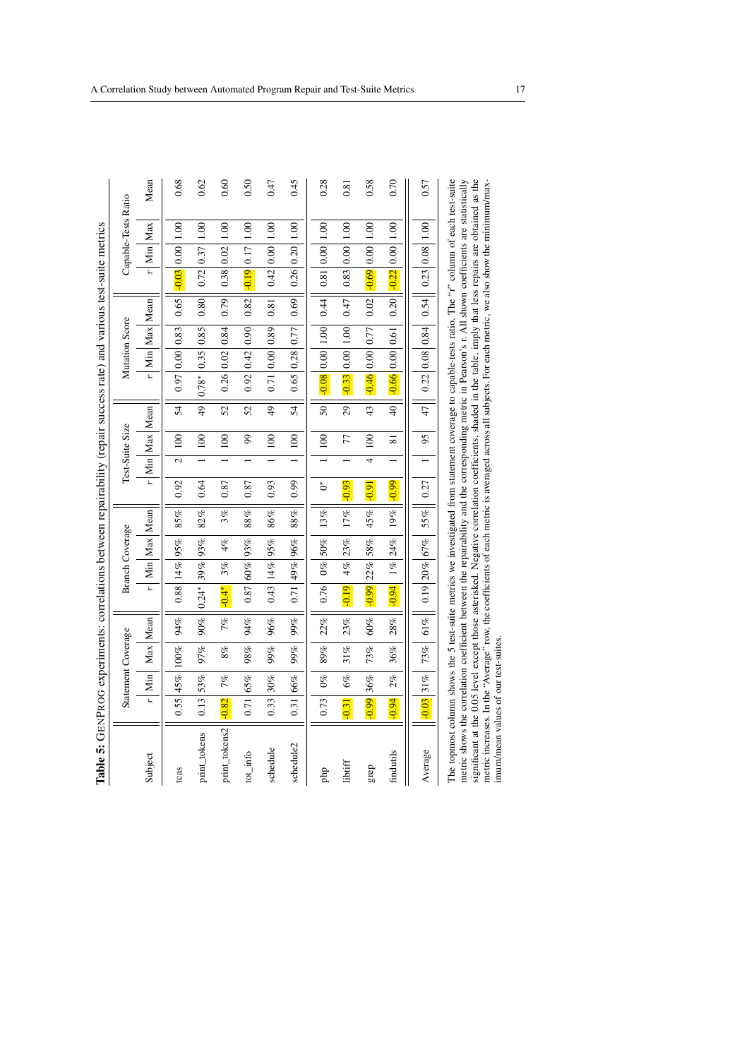<span id="page-16-0"></span>

| Table 5: GENPROG experiments: correlations between repairability (repair success rate) and various test-suite metrics                               |            |             |                    |            |                      |               |                        |        |         |                         |                |                         |                           |           |                      |      |                                                       |               |                     |      |
|-----------------------------------------------------------------------------------------------------------------------------------------------------|------------|-------------|--------------------|------------|----------------------|---------------|------------------------|--------|---------|-------------------------|----------------|-------------------------|---------------------------|-----------|----------------------|------|-------------------------------------------------------|---------------|---------------------|------|
|                                                                                                                                                     |            |             | Statement Coverage |            |                      |               | <b>Branch Coverage</b> |        |         | Test-Suite Size         |                |                         |                           |           | Mutation Score       |      |                                                       |               | Capable-Tests Ratio |      |
| Subject                                                                                                                                             |            | $r$ Min     |                    | Max   Mean | $\frac{1}{\epsilon}$ |               | Min   Max   Mean       |        |         |                         |                | r Min Max Mean          |                           |           | r   Min   Max   Mean |      |                                                       |               | $r$ Min Max         | Mean |
| tcas                                                                                                                                                |            | 0.55 45%    | $100\%$            | 94%        |                      | 0.88 14%      | 95%                    | 85%    | 0.92    | $\overline{\mathbf{c}}$ | $\overline{8}$ | $\overline{54}$         |                           |           | 0.97   0.00   0.83   | 0.65 | $\overline{\textbf{0.03}}$ $\overline{\textbf{0.00}}$ |               | 00.1                | 0.68 |
| print_tokens                                                                                                                                        |            | $0.13$ 53%  | 97%                | $90\%$     | $0.24*$ 39%          |               | 93%                    | $82\%$ | 0.64    |                         | 100            | $\overline{5}$          | $0.78*$ 0.35              |           | 0.85                 | 0.80 | 0.72 0.37 1.00                                        |               |                     | 0.62 |
| print_tokens2                                                                                                                                       | $-0.82$    | 7%          | $8\%$              | 7%         | $-0.4*$              | 3%            | 4%                     | 3%     | 0.87    |                         | 100            | $\overline{52}$         | 0.26   0.02               |           | 0.84                 | 0.79 | 0.38                                                  | $0.02$   1.00 |                     | 0.60 |
| tot_info                                                                                                                                            |            | 0.71 65%    | 98%                | 94%        | 0.87                 | $ 60\% $      | 93%                    | 88%    | 0.87    |                         | 99             | $\overline{52}$         |                           | 0.92 0.42 | 0.90                 | 0.82 | $-0.19$                                               | 0.17 1.00     |                     | 0.50 |
| schedule                                                                                                                                            |            | 0.33 30%    | 99%                | 96%        |                      | $0.43$   14%  | 95%                    | 86%    | 0.93    |                         | 100            | $\overline{5}$          |                           |           | 0.71   0.00   0.89   | 0.81 | 0.42 0.00 1.00                                        |               |                     | 0.47 |
| schedule <sub>2</sub>                                                                                                                               |            | 0.31 66%    | $99\%$             | $99\%$     | 0.71                 | 49%           | 96%                    | 88%    | 0.99    |                         | 100            | 54                      | 0.65   0.28               |           | 0.77                 | 0.69 | $0.26$ $0.20$ 1.00                                    |               |                     | 0.45 |
| php                                                                                                                                                 | 0.73       | $0\%$       | 89%                | 22%        | 0.76                 | $0\%$         | 50%                    | 13%    | ំ       |                         | 100            | $\overline{\mathbb{S}}$ | $-0.08$   0.00            |           | 1.00                 | 0.44 | 0.81 0.00 1.00                                        |               |                     | 0.28 |
| libtiff                                                                                                                                             | $-0.31$    | 6%          | $31\%$             | 23%        | $-0.19$              | 4%            | 23%                    | 17%    | $-0.93$ |                         | 77             | 29                      | $\frac{1}{2}$ 0.00   1.00 |           |                      | 0.47 | 0.83 0.00 1.00                                        |               |                     | 0.81 |
| grep                                                                                                                                                |            | $-0.99$ 36% | 73%                | $60\%$     | $ 66.0-$             | 22%           | 58%                    | 45%    | $-0.91$ | 4                       | 100            | $\overline{43}$         | $-0.46$ 0.00 0.77         |           |                      | 0.02 | $-0.69$ 0.00 1.00                                     |               |                     | 0.58 |
| findutils                                                                                                                                           | $  -0.94 $ | 2%          | $36\%$             | 28%        | 10.94                | $\frac{1}{8}$ | 24%                    | 19%    | 0.99    |                         | $\overline{8}$ | $\frac{1}{4}$           | $-0.66$ 0.00 0.61         |           |                      |      | $0.20$   $-0.22$   $0.00$   1.00                      |               |                     | 0.70 |
| Average                                                                                                                                             |            | $-0.03$ 31% | 73%                | $61\%$     | 0.19 20%             |               | 67%                    | 55%    | 0.27    |                         | 95             | $\overline{47}$         | 0.22 0.08 0.84            |           |                      | 0.54 | 0.23   0.08   1.00                                    |               |                     | 0.57 |
| The topmost column shows the 5 test-suite metrics we investigated from statement coverage to capable-tests ratio. The "r" column of each test-suite |            |             |                    |            |                      |               |                        |        |         |                         |                |                         |                           |           |                      |      |                                                       |               |                     |      |

| The topmost column shows the 5 test-suite metrics we investigated from statement coverage to capable-tests ratio. The "r" column of each test-suite        |
|------------------------------------------------------------------------------------------------------------------------------------------------------------|
| metric shows the correlation coefficient between the repairability and the corresponding metric in Pearson's r. All shown coefficients are statistically   |
| significant at the 0.05 level except those asterisked. Negative correlation coefficients, shaded in the table, imply that less repairs are obtained as the |
| metric increases. In the "Average" row, the coefficients of each metric is averaged across all subjects. For each metric, we also show the minimum/max-    |
| imum/mean values of our test-suites.                                                                                                                       |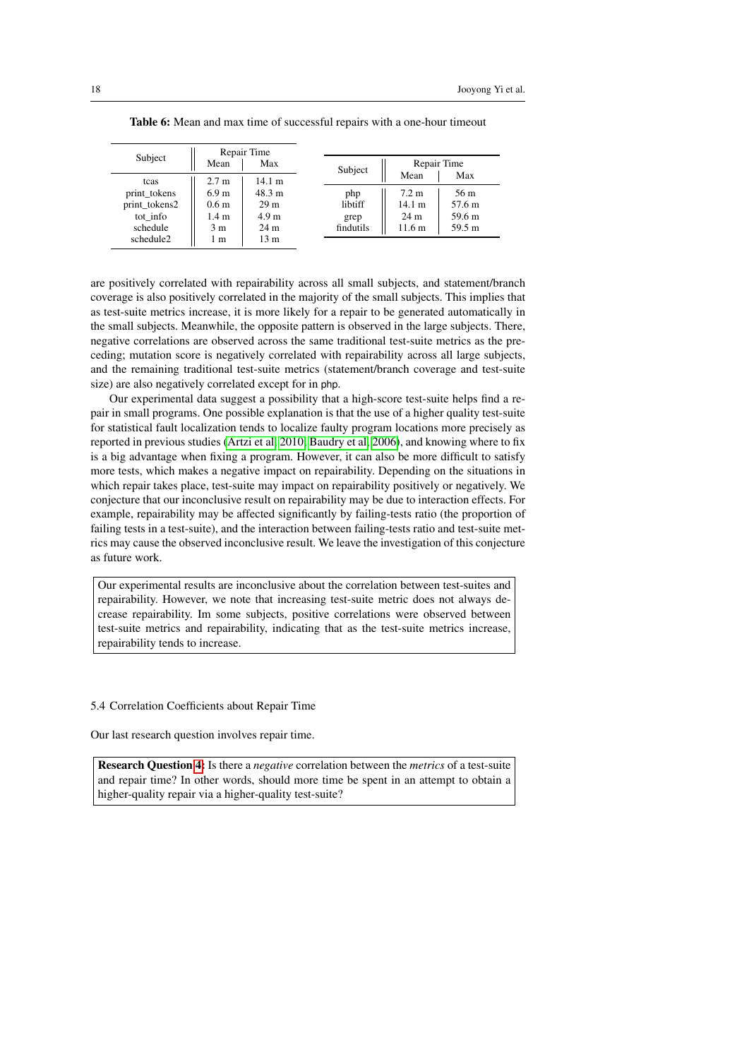|               |                  | Repair Time      |           |                   |             |
|---------------|------------------|------------------|-----------|-------------------|-------------|
| Subject       | Mean             | Max              | Subject   |                   | Repair Time |
| tcas          | 2.7 m            | 14.1 m           |           | Mean              | Max         |
| print_tokens  | 6.9 m            | $48.3 \text{ m}$ | php       | $7.2 \text{ m}$   | 56 m        |
| print_tokens2 | 0.6 <sub>m</sub> | 29 <sub>m</sub>  | libtiff   | $14.1 \text{ m}$  | 57.6 m      |
| tot info      | 1.4 <sub>m</sub> | 4.9 <sub>m</sub> | grep      | 24 <sub>m</sub>   | 59.6 m      |
| schedule      | 3 <sub>m</sub>   | 24 <sub>m</sub>  | findutils | 11.6 <sub>m</sub> | 59.5 m      |
| schedule2     | 1 m              | 13 m             |           |                   |             |

<span id="page-17-0"></span>Table 6: Mean and max time of successful repairs with a one-hour timeout

are positively correlated with repairability across all small subjects, and statement/branch coverage is also positively correlated in the majority of the small subjects. This implies that as test-suite metrics increase, it is more likely for a repair to be generated automatically in the small subjects. Meanwhile, the opposite pattern is observed in the large subjects. There, negative correlations are observed across the same traditional test-suite metrics as the preceding; mutation score is negatively correlated with repairability across all large subjects, and the remaining traditional test-suite metrics (statement/branch coverage and test-suite size) are also negatively correlated except for in php.

Our experimental data suggest a possibility that a high-score test-suite helps find a repair in small programs. One possible explanation is that the use of a higher quality test-suite for statistical fault localization tends to localize faulty program locations more precisely as reported in previous studies [\(Artzi et al, 2010;](#page-26-3) [Baudry et al, 2006\)](#page-26-4), and knowing where to fix is a big advantage when fixing a program. However, it can also be more difficult to satisfy more tests, which makes a negative impact on repairability. Depending on the situations in which repair takes place, test-suite may impact on repairability positively or negatively. We conjecture that our inconclusive result on repairability may be due to interaction effects. For example, repairability may be affected significantly by failing-tests ratio (the proportion of failing tests in a test-suite), and the interaction between failing-tests ratio and test-suite metrics may cause the observed inconclusive result. We leave the investigation of this conjecture as future work.

Our experimental results are inconclusive about the correlation between test-suites and repairability. However, we note that increasing test-suite metric does not always decrease repairability. Im some subjects, positive correlations were observed between test-suite metrics and repairability, indicating that as the test-suite metrics increase, repairability tends to increase.

5.4 Correlation Coefficients about Repair Time

Our last research question involves repair time.

Research Question [4:](#page-8-3) Is there a *negative* correlation between the *metrics* of a test-suite and repair time? In other words, should more time be spent in an attempt to obtain a higher-quality repair via a higher-quality test-suite?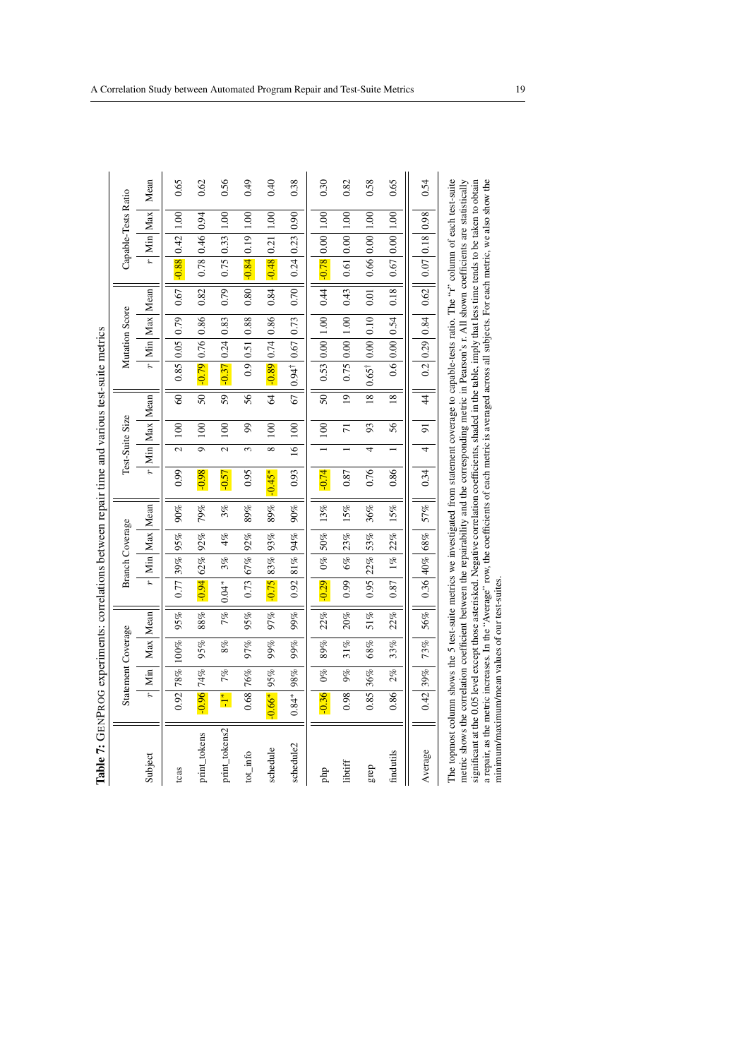<span id="page-18-0"></span>

|                                                                                                                                                     |               |         | Statement Coverage |          |                 |       | <b>Branch Coverage</b> |        |          |                         | Test-Suite Size      |                                                |                                                    | Mutation Score     |                |                   |                | Capable-Tests Ratio |                    |
|-----------------------------------------------------------------------------------------------------------------------------------------------------|---------------|---------|--------------------|----------|-----------------|-------|------------------------|--------|----------|-------------------------|----------------------|------------------------------------------------|----------------------------------------------------|--------------------|----------------|-------------------|----------------|---------------------|--------------------|
| Subject                                                                                                                                             |               | $r$ Min |                    | Max Mean |                 |       | r   Min   Max   Mean   |        |          |                         | r   Min   Max   Mean |                                                |                                                    | $r$  Min Max Mean  |                |                   |                | $r$ Min Max         | Mean               |
| tcas                                                                                                                                                | 0.92   78%    |         | 100%               | 95%      |                 |       | $0.77$ 39% 95%         | $90\%$ | 0.99     | $\overline{\mathbf{c}}$ | 100                  | $\overline{\mathbb{S}}$                        |                                                    | 0.85   0.05   0.79 | 0.67           | $-0.88$           |                | $0.42$   1.00       | 0.65               |
| print_tokens                                                                                                                                        | $-0.96$ 74%   |         | 95%                | 88%      | $-0.94$ 62% 92% |       |                        | 79%    | $ 86.0-$ | $\overline{\circ}$      | 100                  | $\overline{50}$                                |                                                    | $-0.79$ 0.76 0.86  | 0.82           |                   | 0.78 0.46 0.94 |                     | 0.62               |
| print_tokens2                                                                                                                                       | $\frac{*}{1}$ | 7%      | 8%                 | 7%       | $0.04*$         | 3%    | 4%                     | 3%     | $-0.57$  | $\overline{\mathbf{c}}$ | 100                  | $\overline{59}$                                |                                                    | $-0.37 0.24 0.83$  | 0.79           |                   |                | 0.75   0.33   1.00  | 0.56               |
| tot_info                                                                                                                                            | 0.68          | 76%     | 97%                | 95%      | 0.73            |       | 67% 92%                | 89%    | 0.95     | 3                       | S)                   | $\overline{56}$                                |                                                    | $0.9$ 0.51 0.88    | $\frac{80}{1}$ | $-0.84$ 0.19      |                | 1.00                | 0.49               |
| schedule                                                                                                                                            | $-0.66*$      | 95%     | $99\%$             | 97%      | $-0.75$         |       | 83% 93%                | 89%    | $-0.45*$ | $\infty$                | 100                  | $\overline{4}$                                 |                                                    | $-0.89$ 0.74 0.86  | 0.84           | $-0.48$ 0.21 1.00 |                |                     | 0.40               |
| schedule <sub>2</sub>                                                                                                                               | $0.84*$       | $98\%$  | 99%                | $99\%$   | 0.92            |       | 81% 94%                | $90\%$ | 0.93     | $\overline{6}$          | $\overline{100}$     | $\overline{5}$                                 | $  0.94$ <sup>†</sup>                              | 0.67 0.73          | 0.70           |                   |                | 0.24   0.23   0.90  | 0.38               |
| php                                                                                                                                                 | $-0.36$       | $0\%$   | 89%                | 22%      | $-0.29$         | $0\%$ | 50%                    | 13%    | $-0.74$  |                         | 100                  | $\overline{\overline{\overline{\varepsilon}}}$ |                                                    | 0.53   0.00   1.00 | 0.44           | $-0.78$ 0.00      |                | 1.00                | 0.30               |
| libtiff                                                                                                                                             | 0.98          | 9%      | 31%                | 20%      | 0.99            | 6%    | 23%                    | 15%    | 0.87     |                         | $\overline{7}$       | $\overline{9}$                                 |                                                    | 0.75   0.00   1.00 | 0.43           |                   |                | 0.61 0.00 1.00      | 0.82               |
| grep                                                                                                                                                | 0.85          | 36%     | 68%                | 51%      |                 |       | $0.95$ 22% 53%         | $36\%$ | 0.76     | 4                       | 93                   | $\overline{18}$                                | $\vert 0.65^{\dagger} \vert 0.00 \vert 0.10 \vert$ |                    | 0.01           |                   |                | 0.66 0.00 1.00      | 0.58               |
| findutils                                                                                                                                           | 0.86          | $2\%$   | 33%                | 22%      | 0.87            |       | $1\%$ 22%              | 15%    | 0.86     |                         | $\overline{56}$      | $\vert$                                        |                                                    | 0.6 0.00 0.54      | 0.18           | 0.67 0.00 1.00    |                |                     | 0.65               |
| Average                                                                                                                                             | $0.42$ 39%    |         | 73%                | 56%      |                 |       | $0.36$ 40% 68%         | 57%    | 0.34     | 4                       | $\overline{5}$       | $rac{4}{4}$                                    |                                                    | 0.2 0.29 0.84      | 0.62           |                   |                |                     | 0.54               |
| The topmost column shows the 5 test-suite metrics we investigated from statement coverage to capable-tests ratio. The "f" column of each test-suite |               |         |                    |          |                 |       |                        |        |          |                         |                      |                                                |                                                    |                    |                |                   |                |                     | 0.07   0.18   0.98 |

| The topmost column shows the 5 test-suite metrics we investigated from statement coverage to capable-tests ratio. The "r" column of each test-suite             |
|-----------------------------------------------------------------------------------------------------------------------------------------------------------------|
| metric shows the correlation coefficient between the repairability and the corresponding metric in Pearson's r. All shown coefficients are statistically        |
| significant at the 0.05 level except those asterisked. Negative correlation coefficients, shaded in the table, imply that less time tends to be taken to obtain |
| a repair, as the metric increases. In the "Average" row, the coefficients of each metric is averaged across all subjects. For each metric, we also show the     |
| minimum/maximum/mean values of our test-suites.                                                                                                                 |
|                                                                                                                                                                 |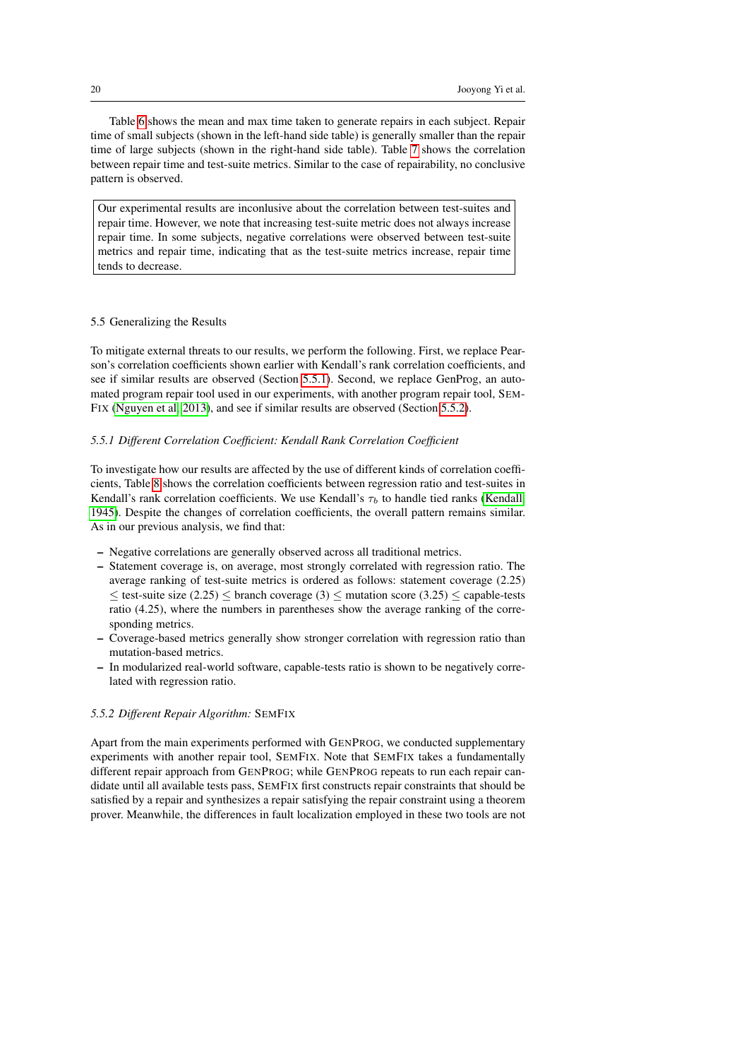Table [6](#page-17-0) shows the mean and max time taken to generate repairs in each subject. Repair time of small subjects (shown in the left-hand side table) is generally smaller than the repair time of large subjects (shown in the right-hand side table). Table [7](#page-18-0) shows the correlation between repair time and test-suite metrics. Similar to the case of repairability, no conclusive pattern is observed.

Our experimental results are inconlusive about the correlation between test-suites and repair time. However, we note that increasing test-suite metric does not always increase repair time. In some subjects, negative correlations were observed between test-suite metrics and repair time, indicating that as the test-suite metrics increase, repair time tends to decrease.

# 5.5 Generalizing the Results

To mitigate external threats to our results, we perform the following. First, we replace Pearson's correlation coefficients shown earlier with Kendall's rank correlation coefficients, and see if similar results are observed (Section [5.5.1\)](#page-19-1). Second, we replace GenProg, an automated program repair tool used in our experiments, with another program repair tool, SEM-FIX [\(Nguyen et al, 2013\)](#page-28-0), and see if similar results are observed (Section [5.5.2\)](#page-19-0).

# <span id="page-19-1"></span>*5.5.1 Different Correlation Coefficient: Kendall Rank Correlation Coefficient*

To investigate how our results are affected by the use of different kinds of correlation coefficients, Table [8](#page-20-0) shows the correlation coefficients between regression ratio and test-suites in Kendall's rank correlation coefficients. We use Kendall's  $\tau_b$  to handle tied ranks [\(Kendall,](#page-27-9) [1945\)](#page-27-9). Despite the changes of correlation coefficients, the overall pattern remains similar. As in our previous analysis, we find that:

- Negative correlations are generally observed across all traditional metrics.
- Statement coverage is, on average, most strongly correlated with regression ratio. The average ranking of test-suite metrics is ordered as follows: statement coverage (2.25)  $\le$  test-suite size (2.25)  $\le$  branch coverage (3)  $\le$  mutation score (3.25)  $\le$  capable-tests ratio (4.25), where the numbers in parentheses show the average ranking of the corresponding metrics.
- Coverage-based metrics generally show stronger correlation with regression ratio than mutation-based metrics.
- In modularized real-world software, capable-tests ratio is shown to be negatively correlated with regression ratio.

# <span id="page-19-0"></span>*5.5.2 Different Repair Algorithm:* SEMFIX

Apart from the main experiments performed with GENPROG, we conducted supplementary experiments with another repair tool, SEMFIX. Note that SEMFIX takes a fundamentally different repair approach from GENPROG; while GENPROG repeats to run each repair candidate until all available tests pass, SEMFIX first constructs repair constraints that should be satisfied by a repair and synthesizes a repair satisfying the repair constraint using a theorem prover. Meanwhile, the differences in fault localization employed in these two tools are not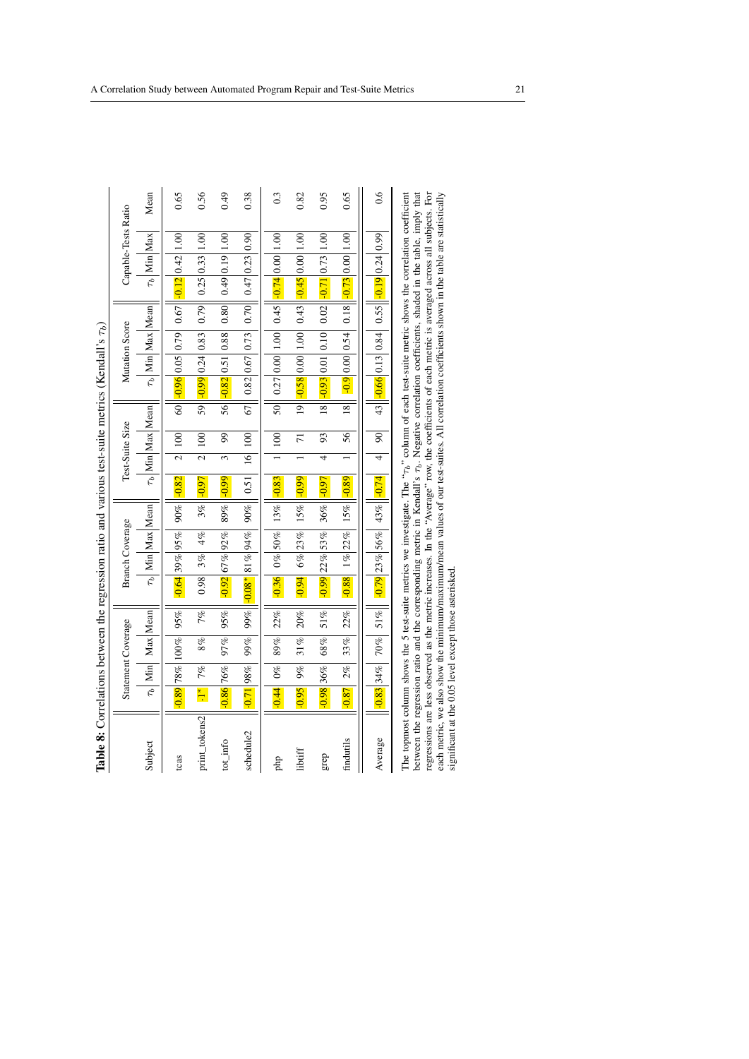<span id="page-20-0"></span>

|                                                                                                                                                       |               |                        | Statement Coverage       |          |                  |    | <b>Branch Coverage</b> |                             |         | Test-Suite Size         |                       |                             |                   | Mutation Score               |      |                           |                                          | Capable-Tests Ratio |
|-------------------------------------------------------------------------------------------------------------------------------------------------------|---------------|------------------------|--------------------------|----------|------------------|----|------------------------|-----------------------------|---------|-------------------------|-----------------------|-----------------------------|-------------------|------------------------------|------|---------------------------|------------------------------------------|---------------------|
| Subject                                                                                                                                               |               | $\tau_b\, \,{\rm Min}$ |                          | Max Mean |                  |    |                        | $\tau_b$   Min   Max   Mean |         |                         |                       | $\tau_b$   Min   Max   Mean |                   | $\tau_b$  Min Max Mean       |      |                           | $\tau_b\, \,\mathrm{Min}\, \mathrm{Max}$ | Mean                |
| tcas                                                                                                                                                  |               | $-0.89$ 78%            | $100\%$                  | 95%      |                  |    | $-0.64$ 39% 95%        | $90\%$                      | $-0.82$ | $\overline{\mathbf{c}}$ | $\overline{0}$        | $\overline{\circ}$          |                   | $-0.96$ 0.05 0.79            | 0.67 | $-0.12 0.42 $             | 1.00                                     | 0.65                |
| print_tokens2                                                                                                                                         | $\frac{1}{1}$ | 7%                     | $\overline{\frac{8}{6}}$ | 7%       | 0.98             | 3% | $4\%$                  | 3%                          | $-0.97$ | $\overline{\mathbf{c}}$ | 100                   | $\overline{59}$             | $-0.99$ 0.24 0.83 |                              | 0.79 | 0.25 0.33 1.00            |                                          | 0.56                |
| tot_info                                                                                                                                              |               | $-0.86$ 76%            | 97%                      | 95%      |                  |    | $-0.92$ 67% 92%        | 89%                         | $-0.99$ | 3                       | $\mathcal{S}^{\circ}$ | 56                          | $-0.82$ 0.51 0.88 |                              | 0.80 | $0.49$ $0.19$ 1.00        |                                          | 64.0                |
| schedule2                                                                                                                                             |               | $-0.71$ 98%            | 99%                      | 99%      | $-0.08*$ 81% 94% |    |                        | 90%                         | 0.51    | $\overline{16}$         | $\overline{100}$      | $\overline{5}$              |                   | 0.82 0.67 0.73               | 0.70 | 0.47 0.23 0.90            |                                          | 0.38                |
| php                                                                                                                                                   | $-0.44$       | $0\%$                  | 89%                      | 22%      | $-0.36$          |    | $0\%$ 50%              | 13%                         | $-0.83$ |                         | 100                   | $\overline{50}$             |                   | 0.27 0.00 1.00               | 0.45 | $-0.74$ 0.00 1.00         |                                          | 0.3                 |
| libtiff                                                                                                                                               | $-0.95$       | $9\%$                  | $31\%$                   | 20%      | $-0.94$          |    | $6\%$ 23%              | $15\%$                      | $-0.99$ |                         | π                     | $\overline{9}$              |                   | $-0.58$ $0.00$ $1.00$        | 0.43 | $-0.45$ 0.00 1.00         |                                          | 0.82                |
| grep                                                                                                                                                  |               | $-0.98$ 36%            | $68\%$                   | $51\%$   |                  |    | $-0.99$ 22% 53%        | $36\%$                      | $-0.97$ | 4                       | 93                    | $\overline{18}$             |                   | $\overline{.0.93} 0.01 0.10$ | 0.02 | $-0.71$ 0.73              | 1.00                                     | 0.95                |
| findutils                                                                                                                                             | $-0.87$       | 2%                     | $33\%$                   | 22%      | $-0.88$          |    | $1\%$ 22%              | 15%                         | $-0.89$ |                         | 56                    | $\overline{18}$             |                   | $-0.9$ 0.00 0.54             | 0.18 | $-0.73$ $0.00$ $1.00$     |                                          | 0.65                |
| Average                                                                                                                                               |               | $-0.83$ 34%            | $70\%$                   | $51\%$   |                  |    | $-0.79$ 23% 56%        | 43%                         | $-0.74$ | 4                       | 8                     | $\frac{43}{5}$              | $-0.66$ 0.13 0.84 |                              | 0.55 | $\frac{-0.19}{0.24}$ 0.99 |                                          | 0.6                 |
| The topmost column shows the 5 test-suite metrics we investigate. The " $\tau_b$ " column of each test-suite metric shows the correlation coefficient |               |                        |                          |          |                  |    |                        |                             |         |                         |                       |                             |                   |                              |      |                           |                                          |                     |

between the regression ratio and the corresponding metric in Kendall's  $\tau_b$ . Negative correlation coefficients, shaded in the table, imply that between the regression ratio and the corresponding metric in Kendall's  $\tau_b$ between the regression ratio and the corresponding metric in Kendall's  $\tau_b$ . Negative correlation coefficients, shaded in the table, imply that regressions are less observed as the metric increases. In the "Average" row, the coefficients of each metric is averaged across all subjects. For each metric, we also show the minimum/maximum/mean values of our test-suites. All correlation coefficients shown in the table are statistically significant at the 0.05 level except those asterisked.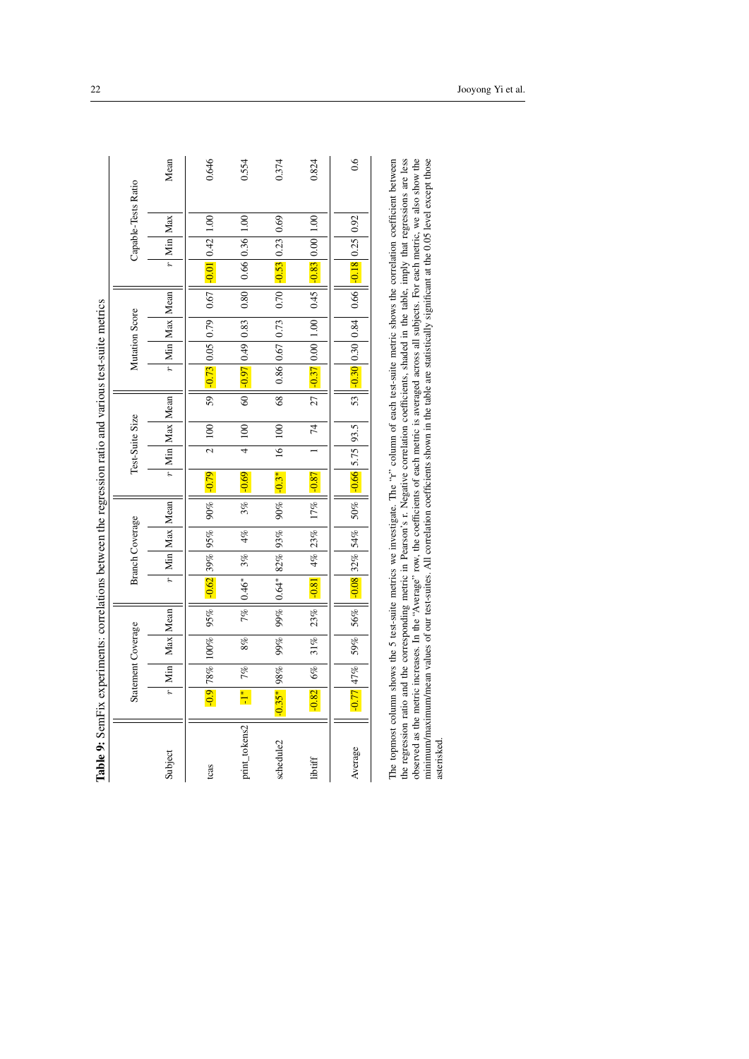<span id="page-21-0"></span>

| Table 9: SemFix experiments: correlations between the regression ratio and various test-suite metrics                                                                                                                                                                                                                                                                                                                                                                                                                                                                                                                                                         |               |            |                      |     |                   |    |                        |        |                                                 |                 |               |                      |                                                                                       |                      |      |                                                                               |                 |                     |
|---------------------------------------------------------------------------------------------------------------------------------------------------------------------------------------------------------------------------------------------------------------------------------------------------------------------------------------------------------------------------------------------------------------------------------------------------------------------------------------------------------------------------------------------------------------------------------------------------------------------------------------------------------------|---------------|------------|----------------------|-----|-------------------|----|------------------------|--------|-------------------------------------------------|-----------------|---------------|----------------------|---------------------------------------------------------------------------------------|----------------------|------|-------------------------------------------------------------------------------|-----------------|---------------------|
|                                                                                                                                                                                                                                                                                                                                                                                                                                                                                                                                                                                                                                                               |               |            | Statement Coverage   |     |                   |    | <b>Branch Coverage</b> |        |                                                 | Test-Suite Size |               |                      |                                                                                       | Mutation Score       |      |                                                                               |                 | Capable-Tests Ratio |
| Subject                                                                                                                                                                                                                                                                                                                                                                                                                                                                                                                                                                                                                                                       |               |            | r   Min   Max   Mean |     |                   |    | r   Min   Max   Mean   |        |                                                 |                 |               | r   Min   Max   Mean |                                                                                       | r   Min   Max   Mean |      |                                                                               | $r$   Min   Max | Mean                |
| tcas                                                                                                                                                                                                                                                                                                                                                                                                                                                                                                                                                                                                                                                          |               | $-0.9$ 78% | 100%                 | 95% | $-0.62$ 39% 95%   |    |                        | 90%    | $-0.79$                                         | 2               | 100           | 59                   | $\left  \frac{0.73}{0.05} \right  0.05$                                               |                      |      | $0.67$   $-0.01$   0.42   1.00                                                |                 | 0.646               |
| print_tokens2                                                                                                                                                                                                                                                                                                                                                                                                                                                                                                                                                                                                                                                 | $\frac{*}{1}$ | $7\%$      | $ 8\% $              |     | $7\%$ 0.46*       | 3% | 4%                     | 3%     | $-0.69$                                         |                 | 4 100         |                      | $60$   $-0.97$   0.49   0.83                                                          |                      | 0.80 | $0.66$ $0.36$ 1.00                                                            |                 | 0.554               |
| schedule2                                                                                                                                                                                                                                                                                                                                                                                                                                                                                                                                                                                                                                                     | $-0.35*$ 98%  |            | $99\%$               |     | 99% 0.64* 82% 93% |    |                        | $90\%$ | $-0.3*$                                         | 16              | 00            | $\frac{68}{1}$       | 0.86 0.67 0.73                                                                        |                      | 0.70 | $\left  \frac{\text{-0.53}}{\text{-0.53}} \right $ 0.23 $\left  0.69 \right $ |                 | 0.374               |
| libtiff                                                                                                                                                                                                                                                                                                                                                                                                                                                                                                                                                                                                                                                       | $-0.82$       | 6%         | $31\%$               | 23% | $-0.81$           |    | $4\%$ 23%              |        | $17\%$   $-0.87$                                |                 | $\frac{1}{4}$ | $\overline{27}$      | $\mid 0.37 \mid 0.00 \mid 1.00 \mid$                                                  |                      | 0.45 | $-0.83$ 0.00 1.00                                                             |                 | 0.824               |
| Average                                                                                                                                                                                                                                                                                                                                                                                                                                                                                                                                                                                                                                                       | $-0.77$   47% |            | 59%                  | 56% | $-0.08$ 32% 54%   |    |                        |        | $50\%$ $\left  \frac{-0.66}{5.75} \right $ 93.5 |                 |               | $\overline{53}$      | $\mid$ -0.30 $\mid$ 0.30 $\mid$ 0.84 $\mid$ 0.66 $\mid$ -0.18 $\mid$ 0.25 $\mid$ 0.92 |                      |      |                                                                               |                 | 0.6                 |
| the regression ratio and the corresponding metric in Pearson's r. Negative correlation coefficients, shaded in the table, imply that regressions are less<br>observed as the metric increases. In the "Average" row, the coefficients of each metric is averaged across all subjects. For each metric, we also show the<br>minimum/maximum/mean values of our test-suites. All correlation coefficients shown in the table are statistically significant at the 0.05 level except those<br>The topmost column shows the 5 test-suite metrics we investigate. The "r" column of each test-suite metric shows the correlation coefficient between<br>asterisked |               |            |                      |     |                   |    |                        |        |                                                 |                 |               |                      |                                                                                       |                      |      |                                                                               |                 |                     |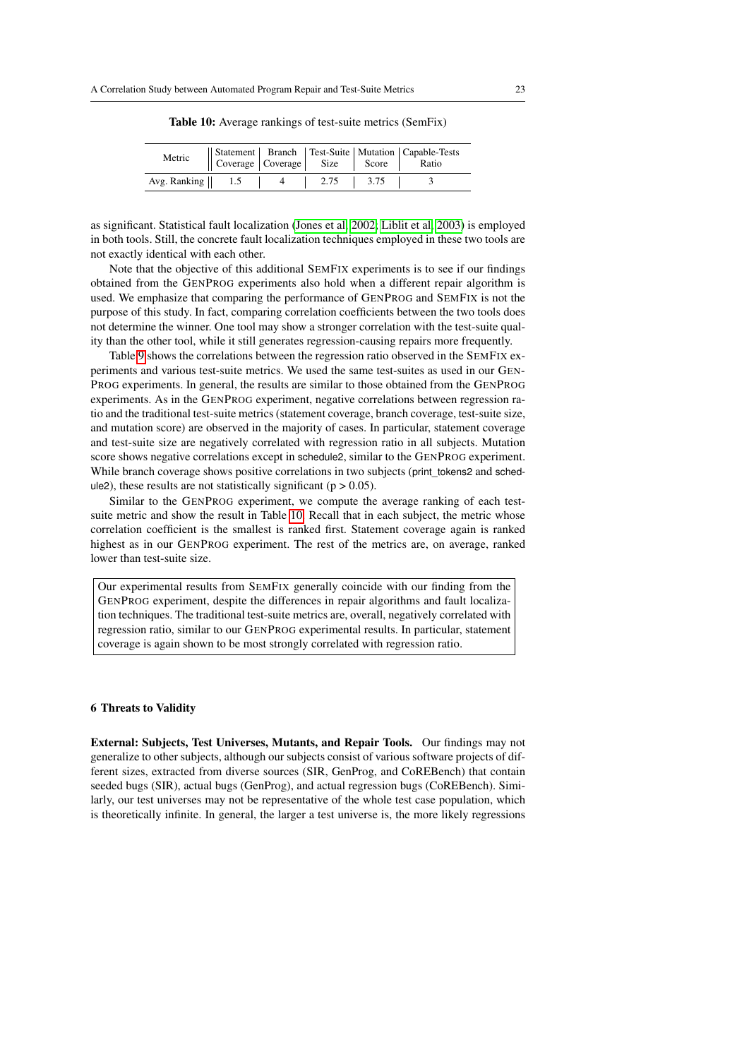<span id="page-22-0"></span>

| Metric                |            |       |         | Statement    Branch    Test-Suite    Mutation    Capable-Tests<br>  Coverage    Coverage    Size    Score    Ratio |
|-----------------------|------------|-------|---------|--------------------------------------------------------------------------------------------------------------------|
| Avg. Ranking $  $ 1.5 | $4 \qquad$ | 12.75 | 1, 3.75 |                                                                                                                    |

Table 10: Average rankings of test-suite metrics (SemFix)

as significant. Statistical fault localization [\(Jones et al, 2002;](#page-27-10) [Liblit et al, 2003\)](#page-28-10) is employed in both tools. Still, the concrete fault localization techniques employed in these two tools are not exactly identical with each other.

Note that the objective of this additional SEMFIX experiments is to see if our findings obtained from the GENPROG experiments also hold when a different repair algorithm is used. We emphasize that comparing the performance of GENPROG and SEMFIX is not the purpose of this study. In fact, comparing correlation coefficients between the two tools does not determine the winner. One tool may show a stronger correlation with the test-suite quality than the other tool, while it still generates regression-causing repairs more frequently.

Table [9](#page-21-0) shows the correlations between the regression ratio observed in the SEMFIX experiments and various test-suite metrics. We used the same test-suites as used in our GEN-PROG experiments. In general, the results are similar to those obtained from the GENPROG experiments. As in the GENPROG experiment, negative correlations between regression ratio and the traditional test-suite metrics (statement coverage, branch coverage, test-suite size, and mutation score) are observed in the majority of cases. In particular, statement coverage and test-suite size are negatively correlated with regression ratio in all subjects. Mutation score shows negative correlations except in schedule2, similar to the GENPROG experiment. While branch coverage shows positive correlations in two subjects (print\_tokens2 and schedule2), these results are not statistically significant ( $p > 0.05$ ).

Similar to the GENPROG experiment, we compute the average ranking of each testsuite metric and show the result in Table [10.](#page-22-0) Recall that in each subject, the metric whose correlation coefficient is the smallest is ranked first. Statement coverage again is ranked highest as in our GENPROG experiment. The rest of the metrics are, on average, ranked lower than test-suite size.

Our experimental results from SEMFIX generally coincide with our finding from the GENPROG experiment, despite the differences in repair algorithms and fault localization techniques. The traditional test-suite metrics are, overall, negatively correlated with regression ratio, similar to our GENPROG experimental results. In particular, statement coverage is again shown to be most strongly correlated with regression ratio.

# 6 Threats to Validity

External: Subjects, Test Universes, Mutants, and Repair Tools. Our findings may not generalize to other subjects, although our subjects consist of various software projects of different sizes, extracted from diverse sources (SIR, GenProg, and CoREBench) that contain seeded bugs (SIR), actual bugs (GenProg), and actual regression bugs (CoREBench). Similarly, our test universes may not be representative of the whole test case population, which is theoretically infinite. In general, the larger a test universe is, the more likely regressions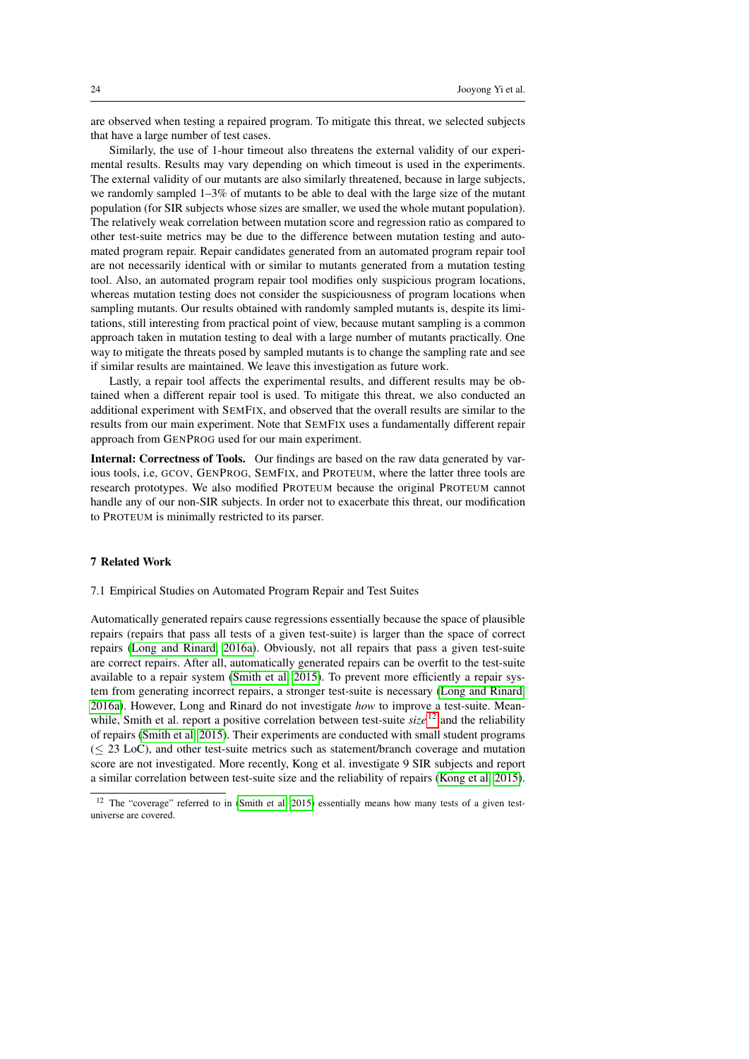are observed when testing a repaired program. To mitigate this threat, we selected subjects that have a large number of test cases.

Similarly, the use of 1-hour timeout also threatens the external validity of our experimental results. Results may vary depending on which timeout is used in the experiments. The external validity of our mutants are also similarly threatened, because in large subjects, we randomly sampled 1–3% of mutants to be able to deal with the large size of the mutant population (for SIR subjects whose sizes are smaller, we used the whole mutant population). The relatively weak correlation between mutation score and regression ratio as compared to other test-suite metrics may be due to the difference between mutation testing and automated program repair. Repair candidates generated from an automated program repair tool are not necessarily identical with or similar to mutants generated from a mutation testing tool. Also, an automated program repair tool modifies only suspicious program locations, whereas mutation testing does not consider the suspiciousness of program locations when sampling mutants. Our results obtained with randomly sampled mutants is, despite its limitations, still interesting from practical point of view, because mutant sampling is a common approach taken in mutation testing to deal with a large number of mutants practically. One way to mitigate the threats posed by sampled mutants is to change the sampling rate and see if similar results are maintained. We leave this investigation as future work.

Lastly, a repair tool affects the experimental results, and different results may be obtained when a different repair tool is used. To mitigate this threat, we also conducted an additional experiment with SEMFIX, and observed that the overall results are similar to the results from our main experiment. Note that SEMFIX uses a fundamentally different repair approach from GENPROG used for our main experiment.

Internal: Correctness of Tools. Our findings are based on the raw data generated by various tools, i.e, GCOV, GENPROG, SEMFIX, and PROTEUM, where the latter three tools are research prototypes. We also modified PROTEUM because the original PROTEUM cannot handle any of our non-SIR subjects. In order not to exacerbate this threat, our modification to PROTEUM is minimally restricted to its parser.

### 7 Related Work

# <span id="page-23-0"></span>7.1 Empirical Studies on Automated Program Repair and Test Suites

Automatically generated repairs cause regressions essentially because the space of plausible repairs (repairs that pass all tests of a given test-suite) is larger than the space of correct repairs [\(Long and Rinard, 2016a\)](#page-28-4). Obviously, not all repairs that pass a given test-suite are correct repairs. After all, automatically generated repairs can be overfit to the test-suite available to a repair system [\(Smith et al, 2015\)](#page-29-5). To prevent more efficiently a repair system from generating incorrect repairs, a stronger test-suite is necessary [\(Long and Rinard,](#page-28-4) [2016a\)](#page-28-4). However, Long and Rinard do not investigate *how* to improve a test-suite. Meanwhile, Smith et al. report a positive correlation between test-suite  $size^{12}$  $size^{12}$  $size^{12}$  and the reliability of repairs [\(Smith et al, 2015\)](#page-29-5). Their experiments are conducted with small student programs  $(\leq 23$  LoC), and other test-suite metrics such as statement/branch coverage and mutation score are not investigated. More recently, Kong et al. investigate 9 SIR subjects and report a similar correlation between test-suite size and the reliability of repairs [\(Kong et al, 2015\)](#page-27-7).

<span id="page-23-1"></span><sup>&</sup>lt;sup>12</sup> The "coverage" referred to in [\(Smith et al, 2015\)](#page-29-5) essentially means how many tests of a given testuniverse are covered.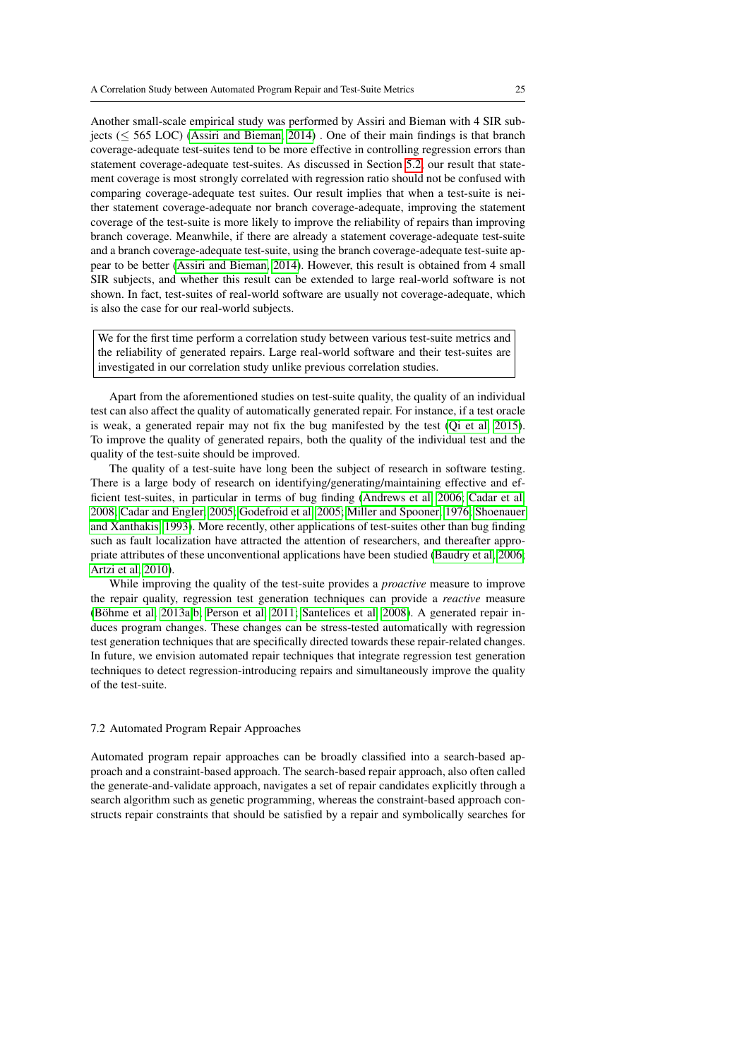Another small-scale empirical study was performed by Assiri and Bieman with 4 SIR subjects ( $\leq$  565 LOC) [\(Assiri and Bieman, 2014\)](#page-26-0). One of their main findings is that branch coverage-adequate test-suites tend to be more effective in controlling regression errors than statement coverage-adequate test-suites. As discussed in Section [5.2,](#page-13-1) our result that statement coverage is most strongly correlated with regression ratio should not be confused with comparing coverage-adequate test suites. Our result implies that when a test-suite is neither statement coverage-adequate nor branch coverage-adequate, improving the statement coverage of the test-suite is more likely to improve the reliability of repairs than improving branch coverage. Meanwhile, if there are already a statement coverage-adequate test-suite and a branch coverage-adequate test-suite, using the branch coverage-adequate test-suite appear to be better [\(Assiri and Bieman, 2014\)](#page-26-0). However, this result is obtained from 4 small SIR subjects, and whether this result can be extended to large real-world software is not shown. In fact, test-suites of real-world software are usually not coverage-adequate, which is also the case for our real-world subjects.

We for the first time perform a correlation study between various test-suite metrics and the reliability of generated repairs. Large real-world software and their test-suites are investigated in our correlation study unlike previous correlation studies.

Apart from the aforementioned studies on test-suite quality, the quality of an individual test can also affect the quality of automatically generated repair. For instance, if a test oracle is weak, a generated repair may not fix the bug manifested by the test [\(Qi et al, 2015\)](#page-29-6). To improve the quality of generated repairs, both the quality of the individual test and the quality of the test-suite should be improved.

The quality of a test-suite have long been the subject of research in software testing. There is a large body of research on identifying/generating/maintaining effective and efficient test-suites, in particular in terms of bug finding [\(Andrews et al, 2006;](#page-26-5) [Cadar et al,](#page-26-2) [2008;](#page-26-2) [Cadar and Engler, 2005;](#page-26-6) [Godefroid et al, 2005;](#page-27-11) [Miller and Spooner, 1976;](#page-28-11) [Shoenauer](#page-29-8) [and Xanthakis, 1993\)](#page-29-8). More recently, other applications of test-suites other than bug finding such as fault localization have attracted the attention of researchers, and thereafter appropriate attributes of these unconventional applications have been studied [\(Baudry et al, 2006;](#page-26-4) [Artzi et al, 2010\)](#page-26-3).

While improving the quality of the test-suite provides a *proactive* measure to improve the repair quality, regression test generation techniques can provide a *reactive* measure [\(Böhme et al, 2013a,](#page-26-7)[b;](#page-26-8) [Person et al, 2011;](#page-28-12) [Santelices et al, 2008\)](#page-29-9). A generated repair induces program changes. These changes can be stress-tested automatically with regression test generation techniques that are specifically directed towards these repair-related changes. In future, we envision automated repair techniques that integrate regression test generation techniques to detect regression-introducing repairs and simultaneously improve the quality of the test-suite.

#### <span id="page-24-0"></span>7.2 Automated Program Repair Approaches

Automated program repair approaches can be broadly classified into a search-based approach and a constraint-based approach. The search-based repair approach, also often called the generate-and-validate approach, navigates a set of repair candidates explicitly through a search algorithm such as genetic programming, whereas the constraint-based approach constructs repair constraints that should be satisfied by a repair and symbolically searches for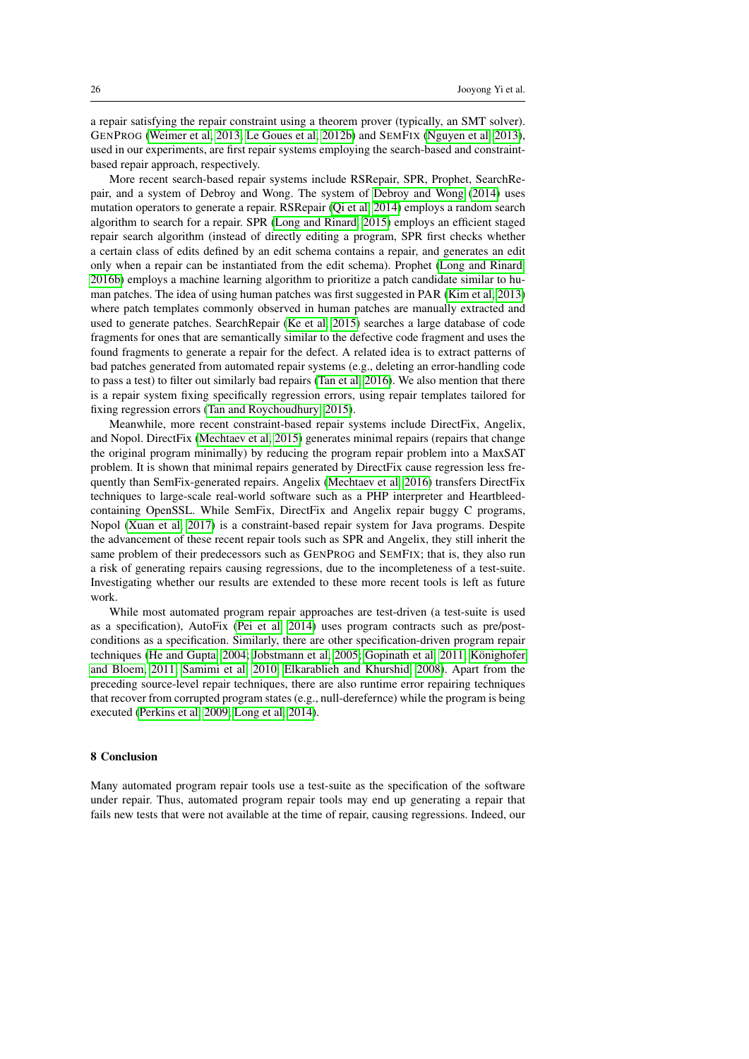a repair satisfying the repair constraint using a theorem prover (typically, an SMT solver). GENPROG [\(Weimer et al, 2013;](#page-29-0) [Le Goues et al, 2012b\)](#page-27-1) and SEMFIX [\(Nguyen et al, 2013\)](#page-28-0), used in our experiments, are first repair systems employing the search-based and constraintbased repair approach, respectively.

More recent search-based repair systems include RSRepair, SPR, Prophet, SearchRepair, and a system of Debroy and Wong. The system of [Debroy and Wong](#page-27-12) [\(2014\)](#page-27-12) uses mutation operators to generate a repair. RSRepair [\(Qi et al, 2014\)](#page-29-4) employs a random search algorithm to search for a repair. SPR [\(Long and Rinard, 2015\)](#page-28-13) employs an efficient staged repair search algorithm (instead of directly editing a program, SPR first checks whether a certain class of edits defined by an edit schema contains a repair, and generates an edit only when a repair can be instantiated from the edit schema). Prophet [\(Long and Rinard,](#page-28-14) [2016b\)](#page-28-14) employs a machine learning algorithm to prioritize a patch candidate similar to human patches. The idea of using human patches was first suggested in PAR [\(Kim et al, 2013\)](#page-27-2) where patch templates commonly observed in human patches are manually extracted and used to generate patches. SearchRepair [\(Ke et al, 2015\)](#page-27-6) searches a large database of code fragments for ones that are semantically similar to the defective code fragment and uses the found fragments to generate a repair for the defect. A related idea is to extract patterns of bad patches generated from automated repair systems (e.g., deleting an error-handling code to pass a test) to filter out similarly bad repairs [\(Tan et al, 2016\)](#page-29-10). We also mention that there is a repair system fixing specifically regression errors, using repair templates tailored for fixing regression errors [\(Tan and Roychoudhury, 2015\)](#page-29-11).

Meanwhile, more recent constraint-based repair systems include DirectFix, Angelix, and Nopol. DirectFix [\(Mechtaev et al, 2015\)](#page-28-6) generates minimal repairs (repairs that change the original program minimally) by reducing the program repair problem into a MaxSAT problem. It is shown that minimal repairs generated by DirectFix cause regression less frequently than SemFix-generated repairs. Angelix [\(Mechtaev et al, 2016\)](#page-28-3) transfers DirectFix techniques to large-scale real-world software such as a PHP interpreter and Heartbleedcontaining OpenSSL. While SemFix, DirectFix and Angelix repair buggy C programs, Nopol [\(Xuan et al, 2017\)](#page-29-2) is a constraint-based repair system for Java programs. Despite the advancement of these recent repair tools such as SPR and Angelix, they still inherit the same problem of their predecessors such as GENPROG and SEMFIX; that is, they also run a risk of generating repairs causing regressions, due to the incompleteness of a test-suite. Investigating whether our results are extended to these more recent tools is left as future work.

While most automated program repair approaches are test-driven (a test-suite is used as a specification), AutoFix [\(Pei et al, 2014\)](#page-28-1) uses program contracts such as pre/postconditions as a specification. Similarly, there are other specification-driven program repair techniques [\(He and Gupta, 2004;](#page-27-13) [Jobstmann et al, 2005;](#page-27-14) [Gopinath et al, 2011;](#page-27-15) [Könighofer](#page-27-16) [and Bloem, 2011;](#page-27-16) [Samimi et al, 2010;](#page-29-12) [Elkarablieh and Khurshid, 2008\)](#page-27-17). Apart from the preceding source-level repair techniques, there are also runtime error repairing techniques that recover from corrupted program states (e.g., null-derefernce) while the program is being executed [\(Perkins et al, 2009;](#page-28-15) [Long et al, 2014\)](#page-28-16).

#### 8 Conclusion

Many automated program repair tools use a test-suite as the specification of the software under repair. Thus, automated program repair tools may end up generating a repair that fails new tests that were not available at the time of repair, causing regressions. Indeed, our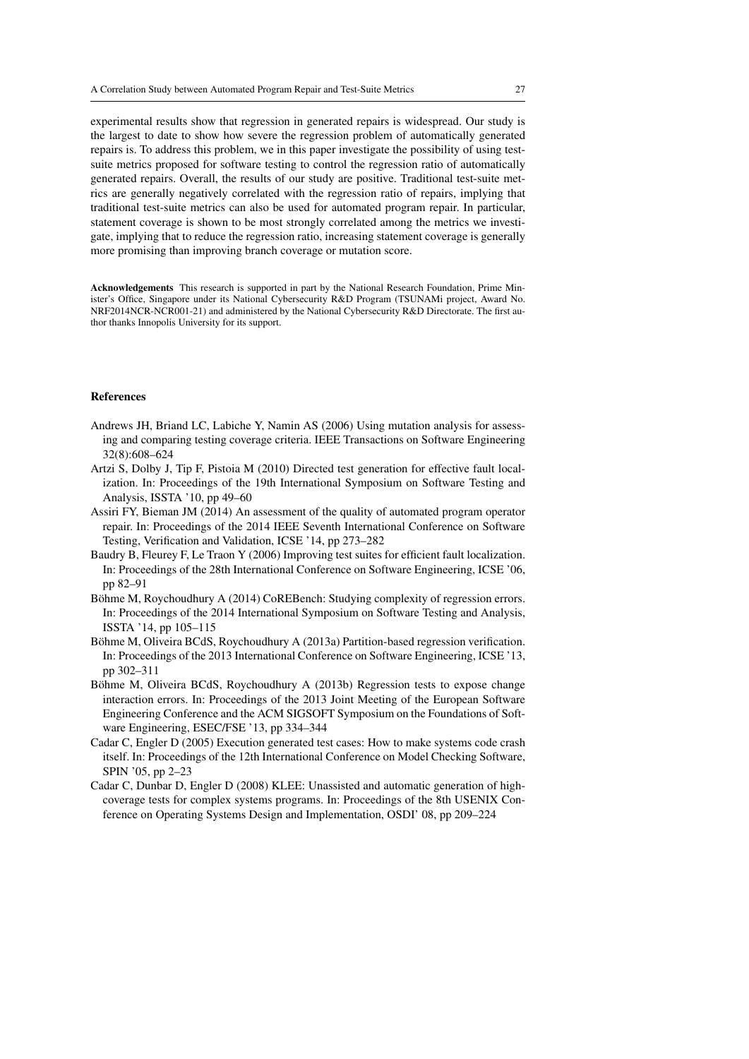experimental results show that regression in generated repairs is widespread. Our study is the largest to date to show how severe the regression problem of automatically generated repairs is. To address this problem, we in this paper investigate the possibility of using testsuite metrics proposed for software testing to control the regression ratio of automatically generated repairs. Overall, the results of our study are positive. Traditional test-suite metrics are generally negatively correlated with the regression ratio of repairs, implying that traditional test-suite metrics can also be used for automated program repair. In particular, statement coverage is shown to be most strongly correlated among the metrics we investigate, implying that to reduce the regression ratio, increasing statement coverage is generally more promising than improving branch coverage or mutation score.

Acknowledgements This research is supported in part by the National Research Foundation, Prime Minister's Office, Singapore under its National Cybersecurity R&D Program (TSUNAMi project, Award No. NRF2014NCR-NCR001-21) and administered by the National Cybersecurity R&D Directorate. The first author thanks Innopolis University for its support.

# **References**

- <span id="page-26-5"></span>Andrews JH, Briand LC, Labiche Y, Namin AS (2006) Using mutation analysis for assessing and comparing testing coverage criteria. IEEE Transactions on Software Engineering 32(8):608–624
- <span id="page-26-3"></span>Artzi S, Dolby J, Tip F, Pistoia M (2010) Directed test generation for effective fault localization. In: Proceedings of the 19th International Symposium on Software Testing and Analysis, ISSTA '10, pp 49–60
- <span id="page-26-0"></span>Assiri FY, Bieman JM (2014) An assessment of the quality of automated program operator repair. In: Proceedings of the 2014 IEEE Seventh International Conference on Software Testing, Verification and Validation, ICSE '14, pp 273–282
- <span id="page-26-4"></span>Baudry B, Fleurey F, Le Traon Y (2006) Improving test suites for efficient fault localization. In: Proceedings of the 28th International Conference on Software Engineering, ICSE '06, pp 82–91
- <span id="page-26-1"></span>Böhme M, Roychoudhury A (2014) CoREBench: Studying complexity of regression errors. In: Proceedings of the 2014 International Symposium on Software Testing and Analysis, ISSTA '14, pp 105–115
- <span id="page-26-7"></span>Böhme M, Oliveira BCdS, Roychoudhury A (2013a) Partition-based regression verification. In: Proceedings of the 2013 International Conference on Software Engineering, ICSE '13, pp 302–311
- <span id="page-26-8"></span>Böhme M, Oliveira BCdS, Roychoudhury A (2013b) Regression tests to expose change interaction errors. In: Proceedings of the 2013 Joint Meeting of the European Software Engineering Conference and the ACM SIGSOFT Symposium on the Foundations of Software Engineering, ESEC/FSE '13, pp 334–344
- <span id="page-26-6"></span>Cadar C, Engler D (2005) Execution generated test cases: How to make systems code crash itself. In: Proceedings of the 12th International Conference on Model Checking Software, SPIN '05, pp 2–23
- <span id="page-26-2"></span>Cadar C, Dunbar D, Engler D (2008) KLEE: Unassisted and automatic generation of highcoverage tests for complex systems programs. In: Proceedings of the 8th USENIX Conference on Operating Systems Design and Implementation, OSDI' 08, pp 209–224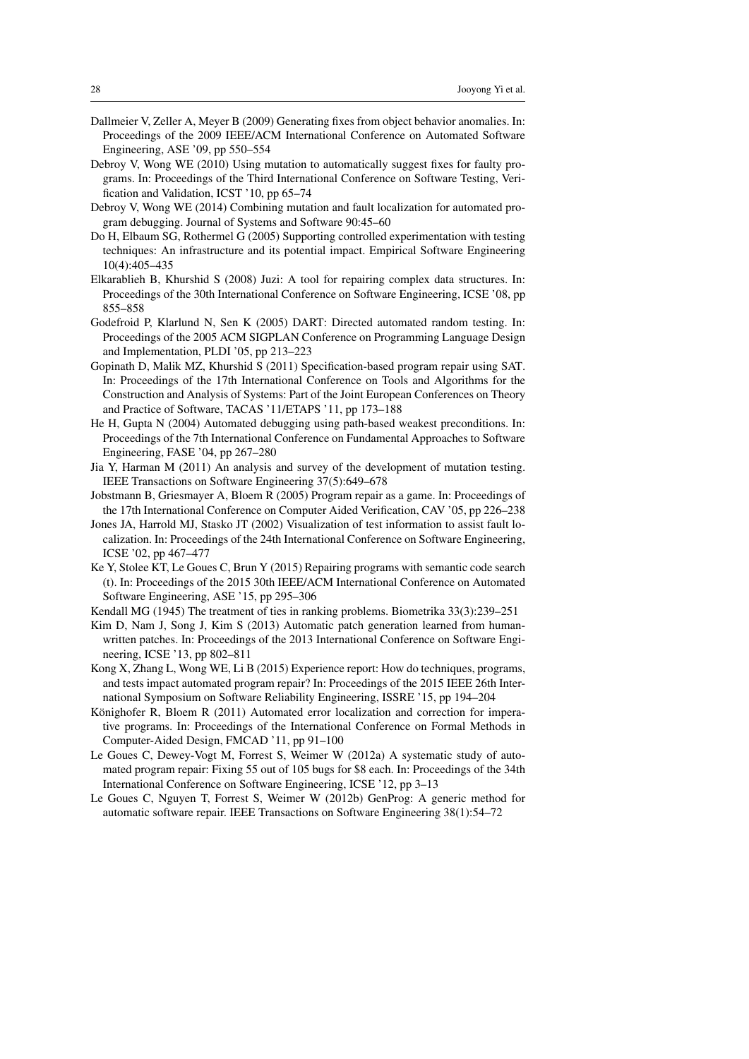- <span id="page-27-3"></span>Dallmeier V, Zeller A, Meyer B (2009) Generating fixes from object behavior anomalies. In: Proceedings of the 2009 IEEE/ACM International Conference on Automated Software Engineering, ASE '09, pp 550–554
- <span id="page-27-4"></span>Debroy V, Wong WE (2010) Using mutation to automatically suggest fixes for faulty programs. In: Proceedings of the Third International Conference on Software Testing, Verification and Validation, ICST '10, pp 65–74
- <span id="page-27-12"></span>Debroy V, Wong WE (2014) Combining mutation and fault localization for automated program debugging. Journal of Systems and Software 90:45–60
- <span id="page-27-5"></span>Do H, Elbaum SG, Rothermel G (2005) Supporting controlled experimentation with testing techniques: An infrastructure and its potential impact. Empirical Software Engineering 10(4):405–435
- <span id="page-27-17"></span>Elkarablieh B, Khurshid S (2008) Juzi: A tool for repairing complex data structures. In: Proceedings of the 30th International Conference on Software Engineering, ICSE '08, pp 855–858
- <span id="page-27-11"></span>Godefroid P, Klarlund N, Sen K (2005) DART: Directed automated random testing. In: Proceedings of the 2005 ACM SIGPLAN Conference on Programming Language Design and Implementation, PLDI '05, pp 213–223
- <span id="page-27-15"></span>Gopinath D, Malik MZ, Khurshid S (2011) Specification-based program repair using SAT. In: Proceedings of the 17th International Conference on Tools and Algorithms for the Construction and Analysis of Systems: Part of the Joint European Conferences on Theory and Practice of Software, TACAS '11/ETAPS '11, pp 173–188
- <span id="page-27-13"></span>He H, Gupta N (2004) Automated debugging using path-based weakest preconditions. In: Proceedings of the 7th International Conference on Fundamental Approaches to Software Engineering, FASE '04, pp 267–280
- <span id="page-27-8"></span>Jia Y, Harman M (2011) An analysis and survey of the development of mutation testing. IEEE Transactions on Software Engineering 37(5):649–678
- <span id="page-27-14"></span>Jobstmann B, Griesmayer A, Bloem R (2005) Program repair as a game. In: Proceedings of the 17th International Conference on Computer Aided Verification, CAV '05, pp 226–238
- <span id="page-27-10"></span>Jones JA, Harrold MJ, Stasko JT (2002) Visualization of test information to assist fault localization. In: Proceedings of the 24th International Conference on Software Engineering, ICSE '02, pp 467–477
- <span id="page-27-6"></span>Ke Y, Stolee KT, Le Goues C, Brun Y (2015) Repairing programs with semantic code search (t). In: Proceedings of the 2015 30th IEEE/ACM International Conference on Automated Software Engineering, ASE '15, pp 295–306
- <span id="page-27-9"></span>Kendall MG (1945) The treatment of ties in ranking problems. Biometrika 33(3):239–251
- <span id="page-27-2"></span>Kim D, Nam J, Song J, Kim S (2013) Automatic patch generation learned from humanwritten patches. In: Proceedings of the 2013 International Conference on Software Engineering, ICSE '13, pp 802–811
- <span id="page-27-7"></span>Kong X, Zhang L, Wong WE, Li B (2015) Experience report: How do techniques, programs, and tests impact automated program repair? In: Proceedings of the 2015 IEEE 26th International Symposium on Software Reliability Engineering, ISSRE '15, pp 194–204
- <span id="page-27-16"></span>Könighofer R, Bloem R (2011) Automated error localization and correction for imperative programs. In: Proceedings of the International Conference on Formal Methods in Computer-Aided Design, FMCAD '11, pp 91–100
- <span id="page-27-0"></span>Le Goues C, Dewey-Vogt M, Forrest S, Weimer W (2012a) A systematic study of automated program repair: Fixing 55 out of 105 bugs for \$8 each. In: Proceedings of the 34th International Conference on Software Engineering, ICSE '12, pp 3–13
- <span id="page-27-1"></span>Le Goues C, Nguyen T, Forrest S, Weimer W (2012b) GenProg: A generic method for automatic software repair. IEEE Transactions on Software Engineering 38(1):54–72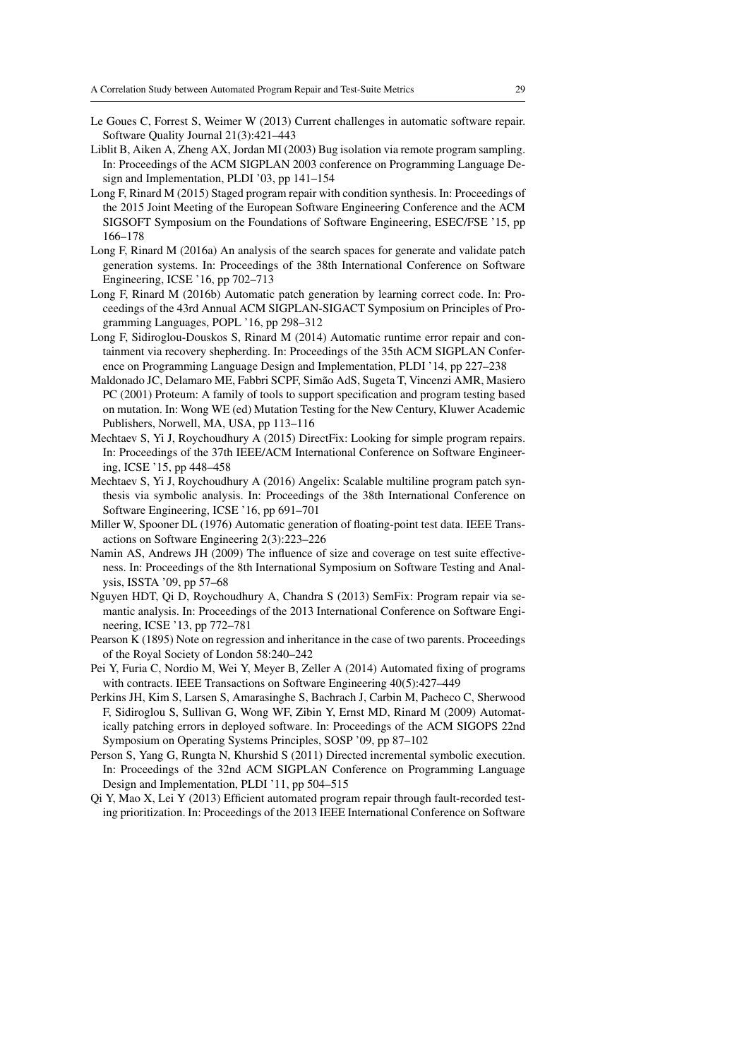- <span id="page-28-5"></span>Le Goues C, Forrest S, Weimer W (2013) Current challenges in automatic software repair. Software Quality Journal 21(3):421–443
- <span id="page-28-10"></span>Liblit B, Aiken A, Zheng AX, Jordan MI (2003) Bug isolation via remote program sampling. In: Proceedings of the ACM SIGPLAN 2003 conference on Programming Language Design and Implementation, PLDI '03, pp 141–154
- <span id="page-28-13"></span>Long F, Rinard M (2015) Staged program repair with condition synthesis. In: Proceedings of the 2015 Joint Meeting of the European Software Engineering Conference and the ACM SIGSOFT Symposium on the Foundations of Software Engineering, ESEC/FSE '15, pp 166–178
- <span id="page-28-4"></span>Long F, Rinard M (2016a) An analysis of the search spaces for generate and validate patch generation systems. In: Proceedings of the 38th International Conference on Software Engineering, ICSE '16, pp 702–713
- <span id="page-28-14"></span>Long F, Rinard M (2016b) Automatic patch generation by learning correct code. In: Proceedings of the 43rd Annual ACM SIGPLAN-SIGACT Symposium on Principles of Programming Languages, POPL '16, pp 298–312
- <span id="page-28-16"></span>Long F, Sidiroglou-Douskos S, Rinard M (2014) Automatic runtime error repair and containment via recovery shepherding. In: Proceedings of the 35th ACM SIGPLAN Conference on Programming Language Design and Implementation, PLDI '14, pp 227–238
- <span id="page-28-8"></span>Maldonado JC, Delamaro ME, Fabbri SCPF, Simão AdS, Sugeta T, Vincenzi AMR, Masiero PC (2001) Proteum: A family of tools to support specification and program testing based on mutation. In: Wong WE (ed) Mutation Testing for the New Century, Kluwer Academic Publishers, Norwell, MA, USA, pp 113–116
- <span id="page-28-6"></span>Mechtaev S, Yi J, Roychoudhury A (2015) DirectFix: Looking for simple program repairs. In: Proceedings of the 37th IEEE/ACM International Conference on Software Engineering, ICSE '15, pp 448–458
- <span id="page-28-3"></span>Mechtaev S, Yi J, Roychoudhury A (2016) Angelix: Scalable multiline program patch synthesis via symbolic analysis. In: Proceedings of the 38th International Conference on Software Engineering, ICSE '16, pp 691–701
- <span id="page-28-11"></span>Miller W, Spooner DL (1976) Automatic generation of floating-point test data. IEEE Transactions on Software Engineering 2(3):223–226
- <span id="page-28-7"></span>Namin AS, Andrews JH (2009) The influence of size and coverage on test suite effectiveness. In: Proceedings of the 8th International Symposium on Software Testing and Analysis, ISSTA '09, pp 57–68
- <span id="page-28-0"></span>Nguyen HDT, Qi D, Roychoudhury A, Chandra S (2013) SemFix: Program repair via semantic analysis. In: Proceedings of the 2013 International Conference on Software Engineering, ICSE '13, pp 772–781
- <span id="page-28-9"></span>Pearson K (1895) Note on regression and inheritance in the case of two parents. Proceedings of the Royal Society of London 58:240–242
- <span id="page-28-1"></span>Pei Y, Furia C, Nordio M, Wei Y, Meyer B, Zeller A (2014) Automated fixing of programs with contracts. IEEE Transactions on Software Engineering 40(5):427–449
- <span id="page-28-15"></span>Perkins JH, Kim S, Larsen S, Amarasinghe S, Bachrach J, Carbin M, Pacheco C, Sherwood F, Sidiroglou S, Sullivan G, Wong WF, Zibin Y, Ernst MD, Rinard M (2009) Automatically patching errors in deployed software. In: Proceedings of the ACM SIGOPS 22nd Symposium on Operating Systems Principles, SOSP '09, pp 87–102
- <span id="page-28-12"></span>Person S, Yang G, Rungta N, Khurshid S (2011) Directed incremental symbolic execution. In: Proceedings of the 32nd ACM SIGPLAN Conference on Programming Language Design and Implementation, PLDI '11, pp 504–515
- <span id="page-28-2"></span>Qi Y, Mao X, Lei Y (2013) Efficient automated program repair through fault-recorded testing prioritization. In: Proceedings of the 2013 IEEE International Conference on Software